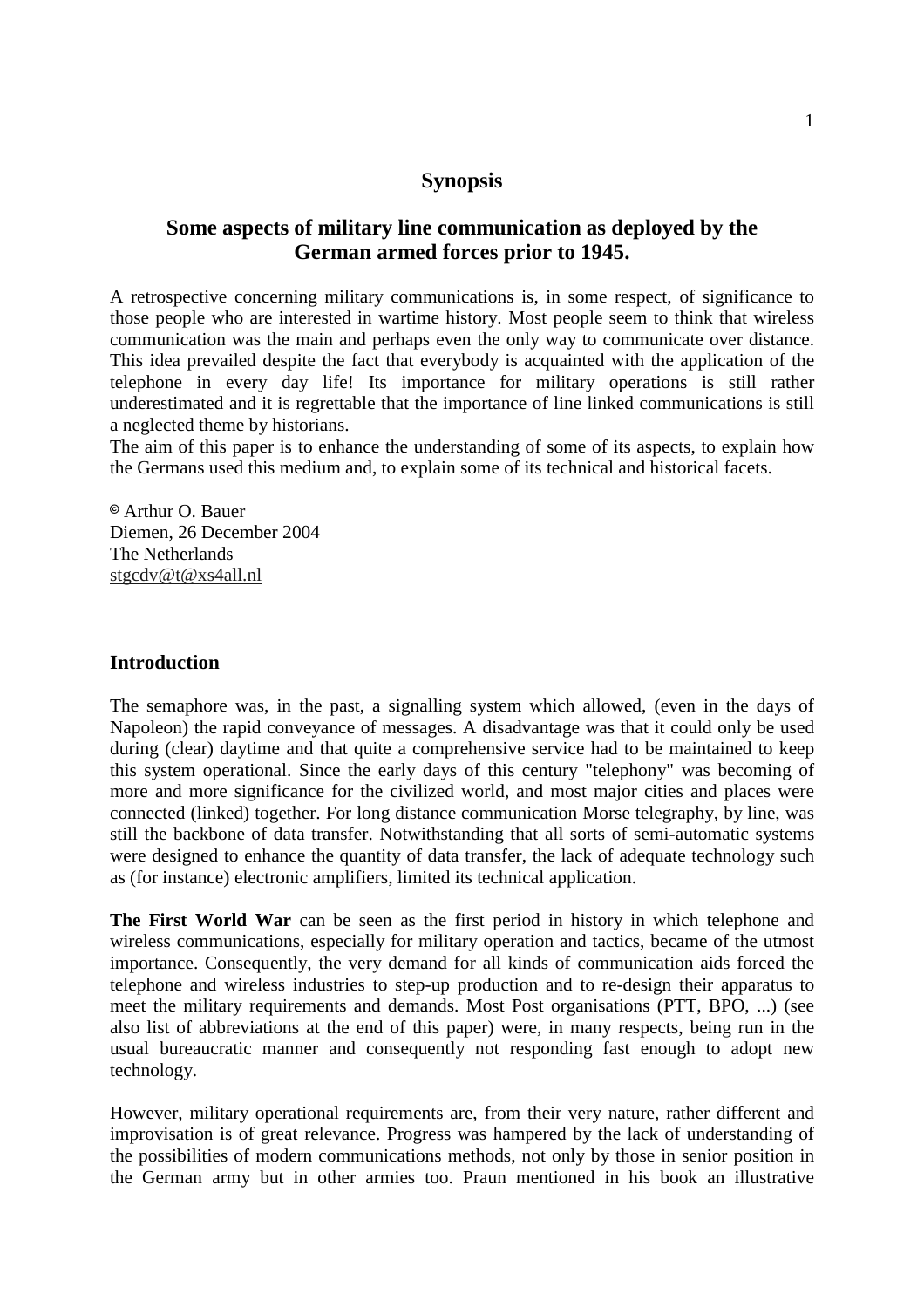# **Synopsis**

# **Some aspects of military line communication as deployed by the German armed forces prior to 1945.**

A retrospective concerning military communications is, in some respect, of significance to those people who are interested in wartime history. Most people seem to think that wireless communication was the main and perhaps even the only way to communicate over distance. This idea prevailed despite the fact that everybody is acquainted with the application of the telephone in every day life! Its importance for military operations is still rather underestimated and it is regrettable that the importance of line linked communications is still a neglected theme by historians.

The aim of this paper is to enhance the understanding of some of its aspects, to explain how the Germans used this medium and, to explain some of its technical and historical facets.

8 Arthur O. Bauer Diemen, 26 December 2004 The Netherlands stgcdv@t@xs4all.nl

### **Introduction**

The semaphore was, in the past, a signalling system which allowed, (even in the days of Napoleon) the rapid conveyance of messages. A disadvantage was that it could only be used during (clear) daytime and that quite a comprehensive service had to be maintained to keep this system operational. Since the early days of this century "telephony" was becoming of more and more significance for the civilized world, and most major cities and places were connected (linked) together. For long distance communication Morse telegraphy, by line, was still the backbone of data transfer. Notwithstanding that all sorts of semi-automatic systems were designed to enhance the quantity of data transfer, the lack of adequate technology such as (for instance) electronic amplifiers, limited its technical application.

**The First World War** can be seen as the first period in history in which telephone and wireless communications, especially for military operation and tactics, became of the utmost importance. Consequently, the very demand for all kinds of communication aids forced the telephone and wireless industries to step-up production and to re-design their apparatus to meet the military requirements and demands. Most Post organisations (PTT, BPO, ...) (see also list of abbreviations at the end of this paper) were, in many respects, being run in the usual bureaucratic manner and consequently not responding fast enough to adopt new technology.

However, military operational requirements are, from their very nature, rather different and improvisation is of great relevance. Progress was hampered by the lack of understanding of the possibilities of modern communications methods, not only by those in senior position in the German army but in other armies too. Praun mentioned in his book an illustrative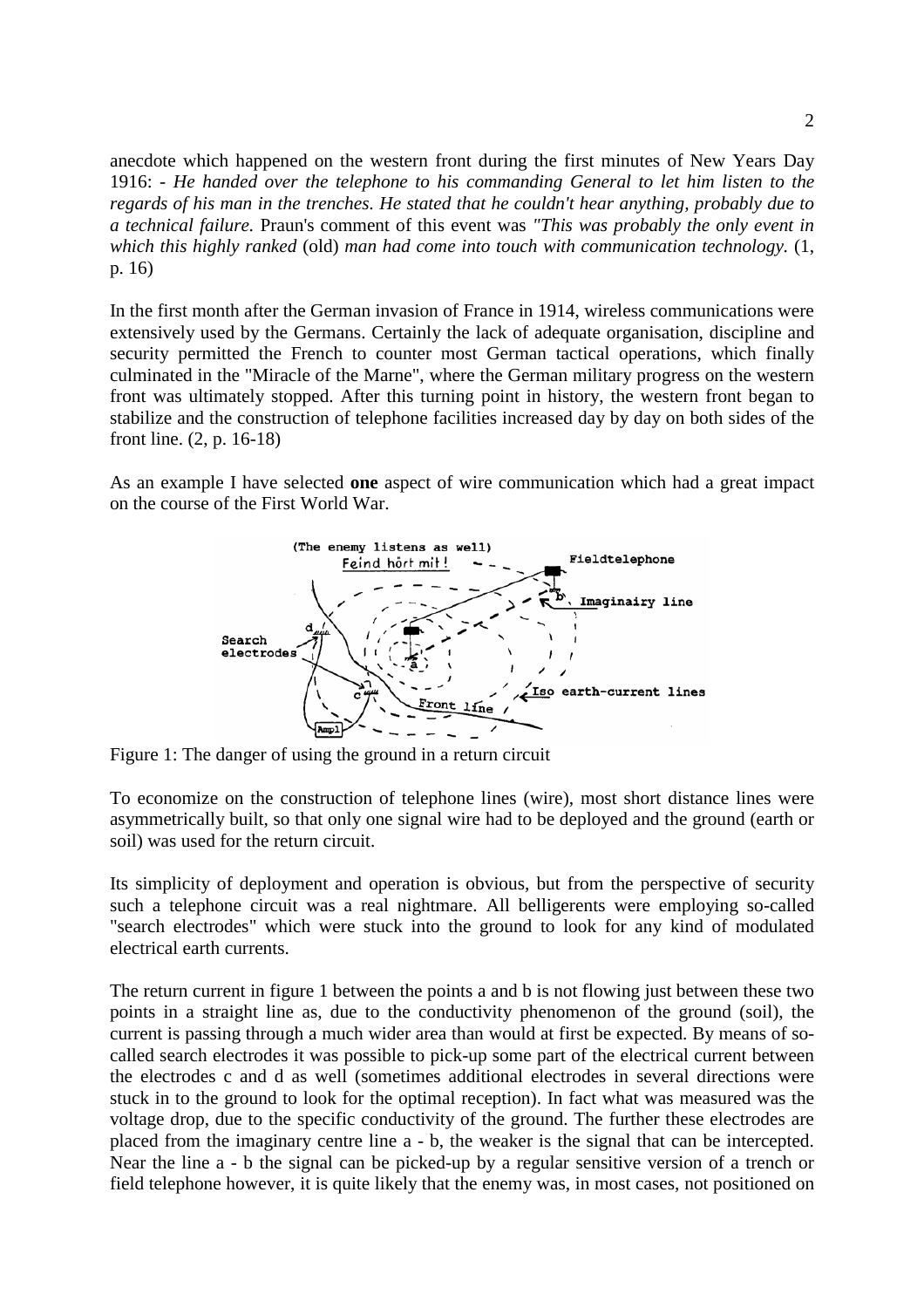anecdote which happened on the western front during the first minutes of New Years Day 1916: - *He handed over the telephone to his commanding General to let him listen to the regards of his man in the trenches. He stated that he couldn't hear anything, probably due to a technical failure.* Praun's comment of this event was *"This was probably the only event in which this highly ranked* (old) *man had come into touch with communication technology.* (1, p. 16)

In the first month after the German invasion of France in 1914, wireless communications were extensively used by the Germans. Certainly the lack of adequate organisation, discipline and security permitted the French to counter most German tactical operations, which finally culminated in the "Miracle of the Marne", where the German military progress on the western front was ultimately stopped. After this turning point in history, the western front began to stabilize and the construction of telephone facilities increased day by day on both sides of the front line. (2, p. 16-18)

As an example I have selected **one** aspect of wire communication which had a great impact on the course of the First World War.



Figure 1: The danger of using the ground in a return circuit

To economize on the construction of telephone lines (wire), most short distance lines were asymmetrically built, so that only one signal wire had to be deployed and the ground (earth or soil) was used for the return circuit.

Its simplicity of deployment and operation is obvious, but from the perspective of security such a telephone circuit was a real nightmare. All belligerents were employing so-called "search electrodes" which were stuck into the ground to look for any kind of modulated electrical earth currents.

The return current in figure 1 between the points a and b is not flowing just between these two points in a straight line as, due to the conductivity phenomenon of the ground (soil), the current is passing through a much wider area than would at first be expected. By means of socalled search electrodes it was possible to pick-up some part of the electrical current between the electrodes c and d as well (sometimes additional electrodes in several directions were stuck in to the ground to look for the optimal reception). In fact what was measured was the voltage drop, due to the specific conductivity of the ground. The further these electrodes are placed from the imaginary centre line a - b, the weaker is the signal that can be intercepted. Near the line a - b the signal can be picked-up by a regular sensitive version of a trench or field telephone however, it is quite likely that the enemy was, in most cases, not positioned on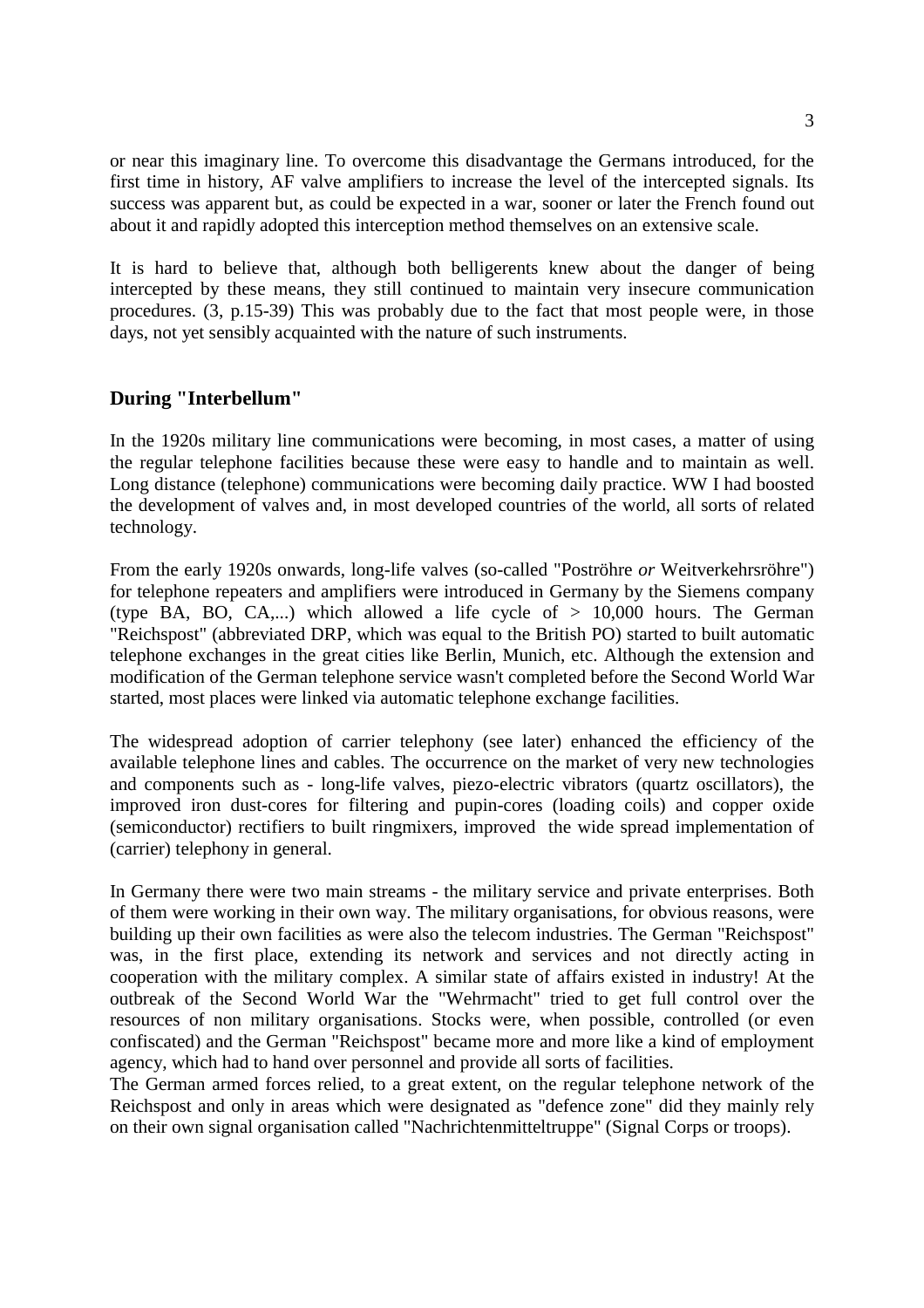or near this imaginary line. To overcome this disadvantage the Germans introduced, for the first time in history, AF valve amplifiers to increase the level of the intercepted signals. Its success was apparent but, as could be expected in a war, sooner or later the French found out about it and rapidly adopted this interception method themselves on an extensive scale.

It is hard to believe that, although both belligerents knew about the danger of being intercepted by these means, they still continued to maintain very insecure communication procedures. (3, p.15-39) This was probably due to the fact that most people were, in those days, not yet sensibly acquainted with the nature of such instruments.

## **During "Interbellum"**

In the 1920s military line communications were becoming, in most cases, a matter of using the regular telephone facilities because these were easy to handle and to maintain as well. Long distance (telephone) communications were becoming daily practice. WW I had boosted the development of valves and, in most developed countries of the world, all sorts of related technology.

From the early 1920s onwards, long-life valves (so-called "Poströhre *or* Weitverkehrsröhre") for telephone repeaters and amplifiers were introduced in Germany by the Siemens company (type BA, BO, CA,...) which allowed a life cycle of  $> 10,000$  hours. The German "Reichspost" (abbreviated DRP, which was equal to the British PO) started to built automatic telephone exchanges in the great cities like Berlin, Munich, etc. Although the extension and modification of the German telephone service wasn't completed before the Second World War started, most places were linked via automatic telephone exchange facilities.

The widespread adoption of carrier telephony (see later) enhanced the efficiency of the available telephone lines and cables. The occurrence on the market of very new technologies and components such as - long-life valves, piezo-electric vibrators (quartz oscillators), the improved iron dust-cores for filtering and pupin-cores (loading coils) and copper oxide (semiconductor) rectifiers to built ringmixers, improved the wide spread implementation of (carrier) telephony in general.

In Germany there were two main streams - the military service and private enterprises. Both of them were working in their own way. The military organisations, for obvious reasons, were building up their own facilities as were also the telecom industries. The German "Reichspost" was, in the first place, extending its network and services and not directly acting in cooperation with the military complex. A similar state of affairs existed in industry! At the outbreak of the Second World War the "Wehrmacht" tried to get full control over the resources of non military organisations. Stocks were, when possible, controlled (or even confiscated) and the German "Reichspost" became more and more like a kind of employment agency, which had to hand over personnel and provide all sorts of facilities.

The German armed forces relied, to a great extent, on the regular telephone network of the Reichspost and only in areas which were designated as "defence zone" did they mainly rely on their own signal organisation called "Nachrichtenmitteltruppe" (Signal Corps or troops).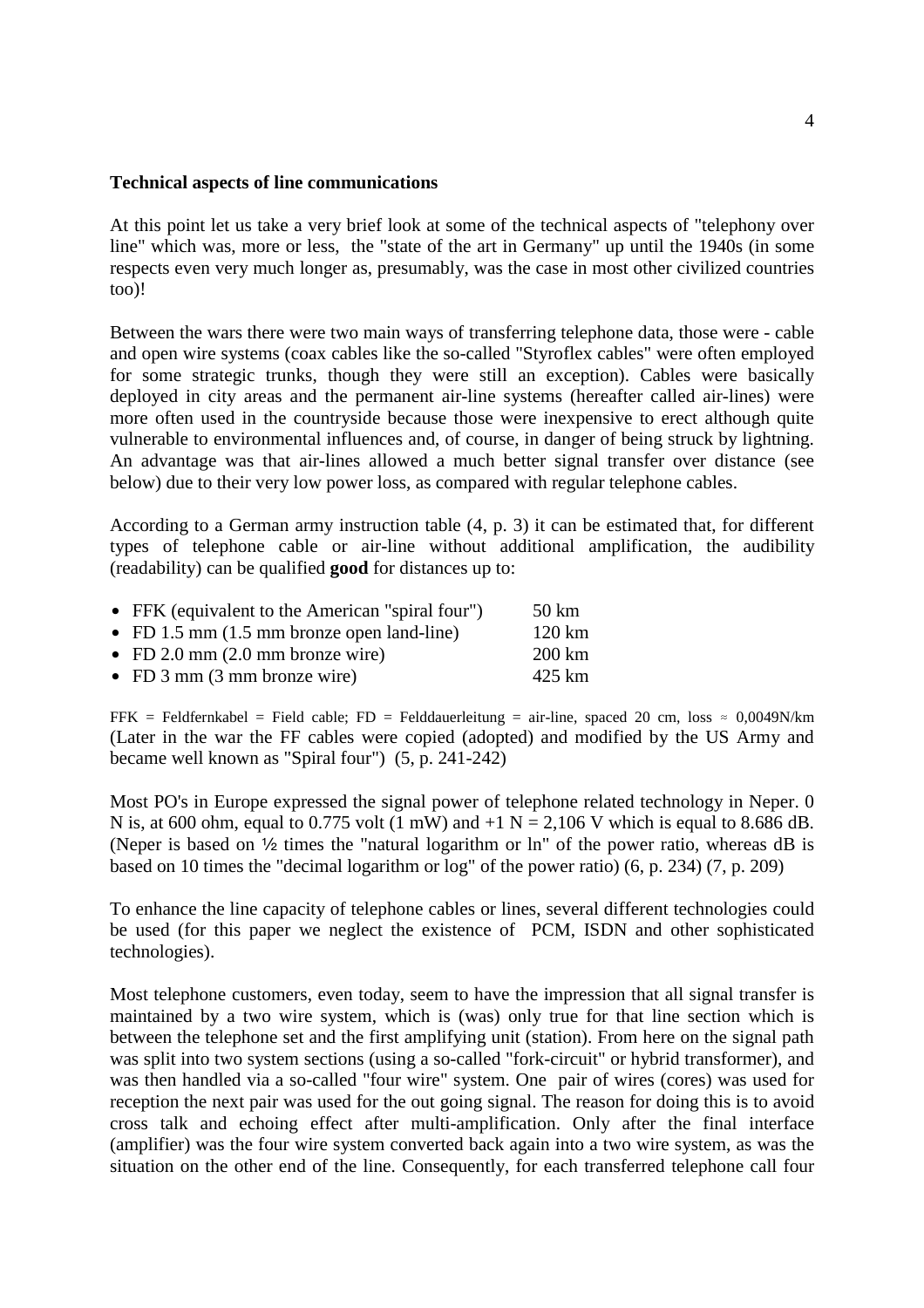#### **Technical aspects of line communications**

At this point let us take a very brief look at some of the technical aspects of "telephony over line" which was, more or less, the "state of the art in Germany" up until the 1940s (in some respects even very much longer as, presumably, was the case in most other civilized countries too)!

Between the wars there were two main ways of transferring telephone data, those were - cable and open wire systems (coax cables like the so-called "Styroflex cables" were often employed for some strategic trunks, though they were still an exception). Cables were basically deployed in city areas and the permanent air-line systems (hereafter called air-lines) were more often used in the countryside because those were inexpensive to erect although quite vulnerable to environmental influences and, of course, in danger of being struck by lightning. An advantage was that air-lines allowed a much better signal transfer over distance (see below) due to their very low power loss, as compared with regular telephone cables.

According to a German army instruction table (4, p. 3) it can be estimated that, for different types of telephone cable or air-line without additional amplification, the audibility (readability) can be qualified **good** for distances up to:

| • FFK (equivalent to the American "spiral four")      | 50 km             |
|-------------------------------------------------------|-------------------|
| • FD 1.5 mm $(1.5 \text{ mm})$ bronze open land-line) | $120 \mathrm{km}$ |
| • FD 2.0 mm $(2.0 \text{ mm})$ bronze wire            | $200 \mathrm{km}$ |
| • FD $3 \text{ mm}$ (3 mm bronze wire)                | 425 km            |

FFK = Feldfernkabel = Field cable; FD = Felddauerleitung = air-line, spaced 20 cm, loss  $\approx 0.0049N/km$ FFK = Feldfernkabel = Field cable; FD = Felddauerleitung = air-line, spaced 20 cm, loss  $\approx 0,0049N/km$ <br>(Later in the war the FF cables were copied (adopted) and modified by the US Army and became well known as "Spiral four") (5, p. 241-242)

Most PO's in Europe expressed the signal power of telephone related technology in Neper. 0 N is, at 600 ohm, equal to 0.775 volt (1 mW) and  $+1$  N = 2,106 V which is equal to 8.686 dB. (Neper is based on  $\frac{1}{2}$  times the "natural logarithm or ln" of the power ratio, whereas dB is based on 10 times the "decimal logarithm or log" of the power ratio) (6, p. 234) (7, p. 209)

To enhance the line capacity of telephone cables or lines, several different technologies could be used (for this paper we neglect the existence of PCM, ISDN and other sophisticated technologies).

Most telephone customers, even today, seem to have the impression that all signal transfer is maintained by a two wire system, which is (was) only true for that line section which is between the telephone set and the first amplifying unit (station). From here on the signal path was split into two system sections (using a so-called "fork-circuit" or hybrid transformer), and was then handled via a so-called "four wire" system. One pair of wires (cores) was used for reception the next pair was used for the out going signal. The reason for doing this is to avoid cross talk and echoing effect after multi-amplification. Only after the final interface (amplifier) was the four wire system converted back again into a two wire system, as was the situation on the other end of the line. Consequently, for each transferred telephone call four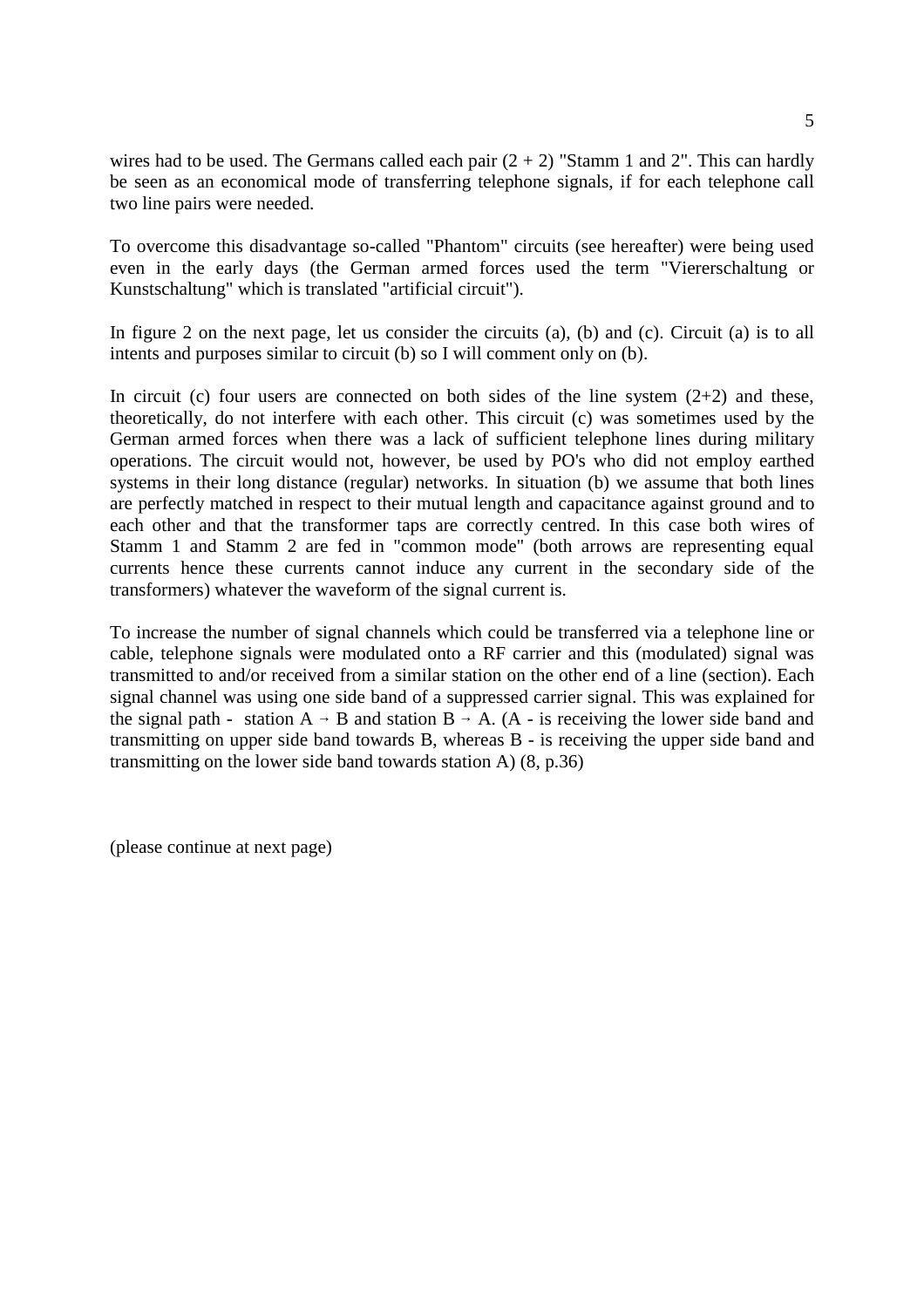wires had to be used. The Germans called each pair  $(2 + 2)$  "Stamm 1 and 2". This can hardly be seen as an economical mode of transferring telephone signals, if for each telephone call two line pairs were needed.

To overcome this disadvantage so-called "Phantom" circuits (see hereafter) were being used even in the early days (the German armed forces used the term "Viererschaltung or Kunstschaltung" which is translated "artificial circuit").

In figure 2 on the next page, let us consider the circuits (a), (b) and (c). Circuit (a) is to all intents and purposes similar to circuit (b) so I will comment only on (b).

In circuit (c) four users are connected on both sides of the line system  $(2+2)$  and these, theoretically, do not interfere with each other. This circuit (c) was sometimes used by the German armed forces when there was a lack of sufficient telephone lines during military operations. The circuit would not, however, be used by PO's who did not employ earthed systems in their long distance (regular) networks. In situation (b) we assume that both lines are perfectly matched in respect to their mutual length and capacitance against ground and to each other and that the transformer taps are correctly centred. In this case both wires of Stamm 1 and Stamm 2 are fed in "common mode" (both arrows are representing equal currents hence these currents cannot induce any current in the secondary side of the transformers) whatever the waveform of the signal current is.

To increase the number of signal channels which could be transferred via a telephone line or cable, telephone signals were modulated onto a RF carrier and this (modulated) signal was transmitted to and/or received from a similar station on the other end of a line (section). Each signal channel was using one side band of a suppressed carrier signal. This was explained for the signal path - station  $A \rightarrow B$  and station  $B \rightarrow A$ . (A - is receiving the lower side band and transmitting on upper side band towards B, whereas B - is receiving the upper side band and transmitting on the lower side band towards station A) (8, p.36)

(please continue at next page)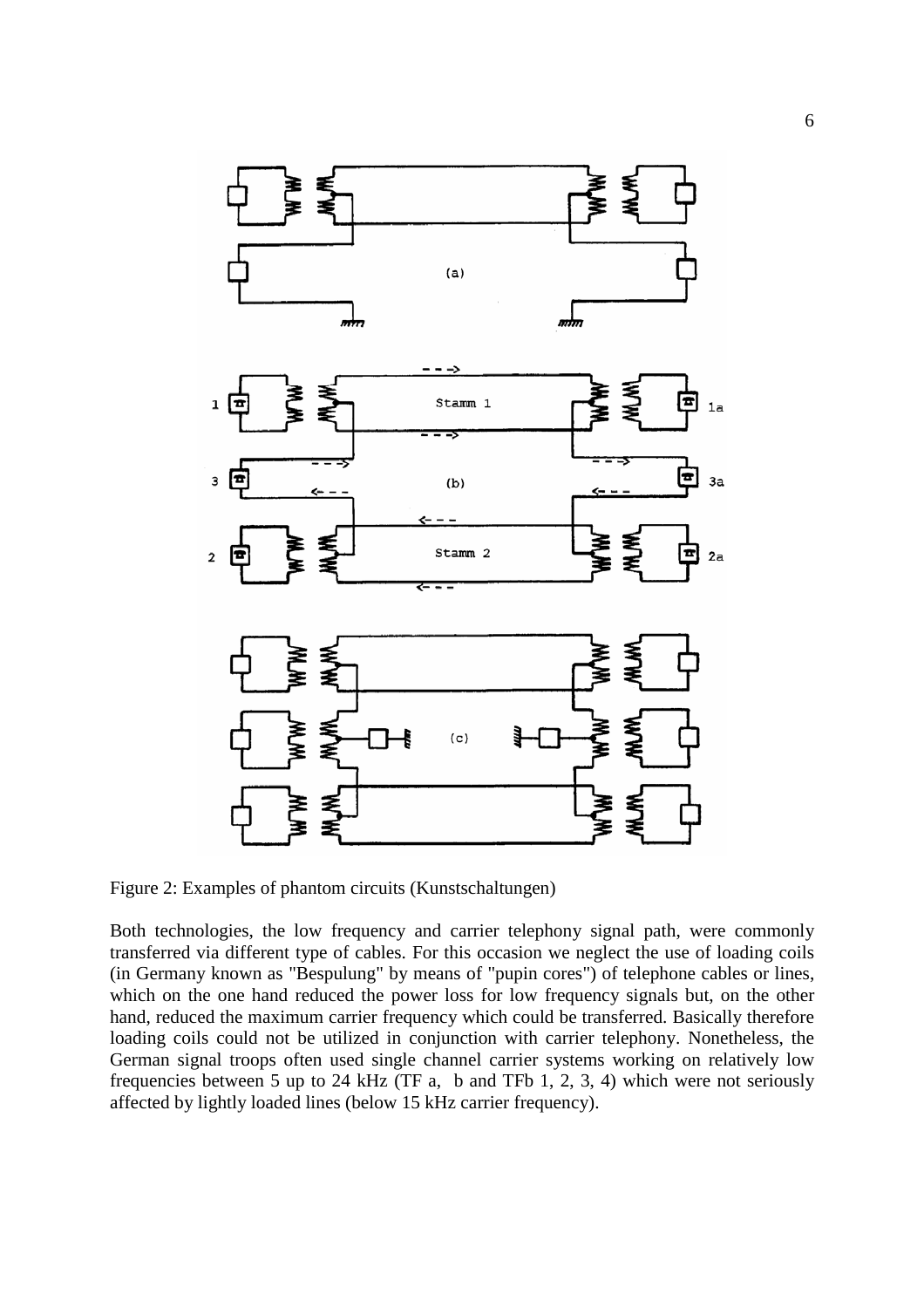

Figure 2: Examples of phantom circuits (Kunstschaltungen)

Both technologies, the low frequency and carrier telephony signal path, were commonly transferred via different type of cables. For this occasion we neglect the use of loading coils (in Germany known as "Bespulung" by means of "pupin cores") of telephone cables or lines, which on the one hand reduced the power loss for low frequency signals but, on the other hand, reduced the maximum carrier frequency which could be transferred. Basically therefore loading coils could not be utilized in conjunction with carrier telephony. Nonetheless, the German signal troops often used single channel carrier systems working on relatively low frequencies between 5 up to 24 kHz (TF a, b and TFb 1, 2, 3, 4) which were not seriously affected by lightly loaded lines (below 15 kHz carrier frequency).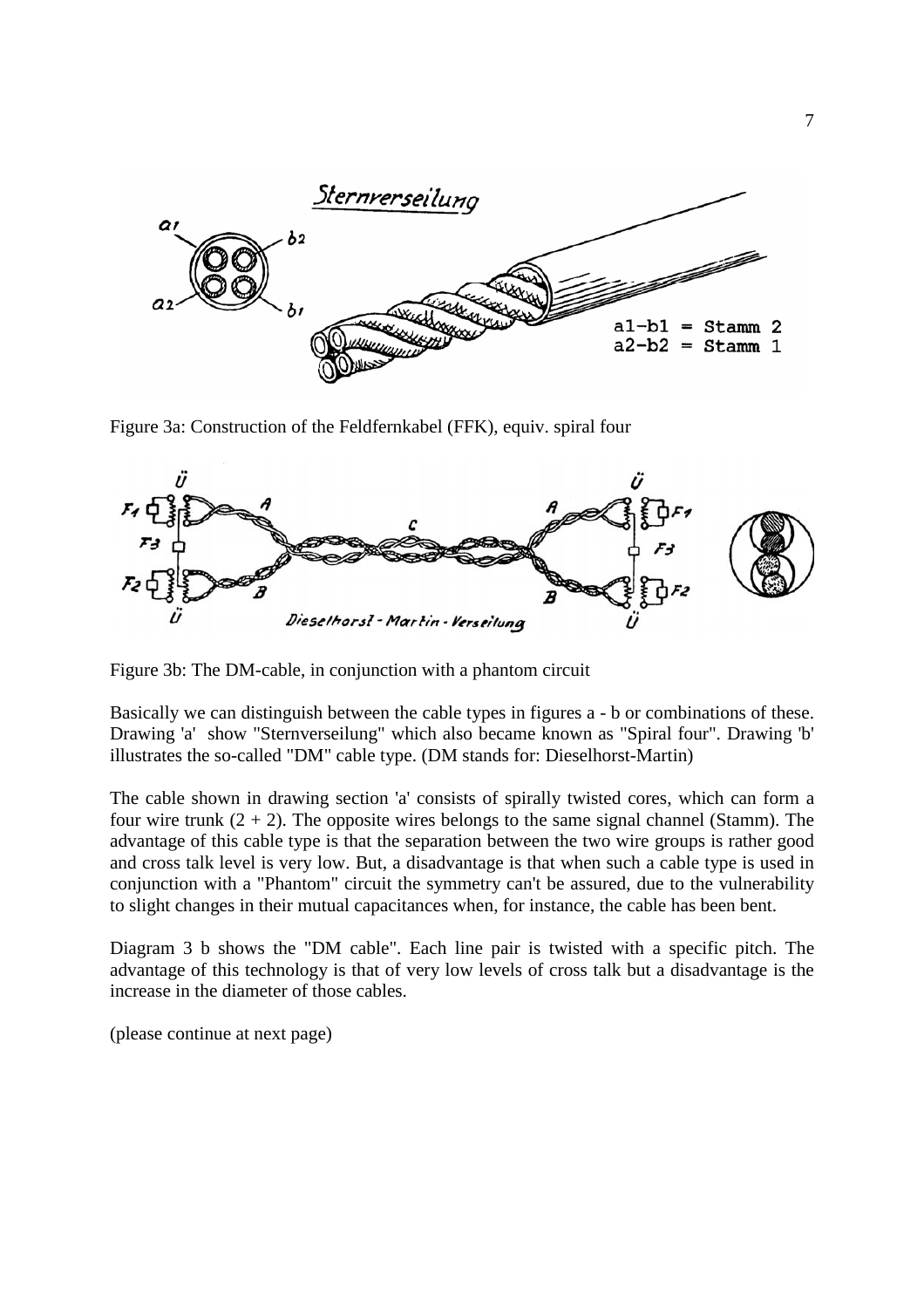

Figure 3a: Construction of the Feldfernkabel (FFK), equiv. spiral four



Figure 3b: The DM-cable, in conjunction with a phantom circuit

Basically we can distinguish between the cable types in figures a - b or combinations of these. Drawing 'a' show "Sternverseilung" which also became known as "Spiral four". Drawing 'b' illustrates the so-called "DM" cable type. (DM stands for: Dieselhorst-Martin)

The cable shown in drawing section 'a' consists of spirally twisted cores, which can form a four wire trunk  $(2 + 2)$ . The opposite wires belongs to the same signal channel (Stamm). The advantage of this cable type is that the separation between the two wire groups is rather good and cross talk level is very low. But, a disadvantage is that when such a cable type is used in conjunction with a "Phantom" circuit the symmetry can't be assured, due to the vulnerability to slight changes in their mutual capacitances when, for instance, the cable has been bent.

Diagram 3 b shows the "DM cable". Each line pair is twisted with a specific pitch. The advantage of this technology is that of very low levels of cross talk but a disadvantage is the increase in the diameter of those cables.

(please continue at next page)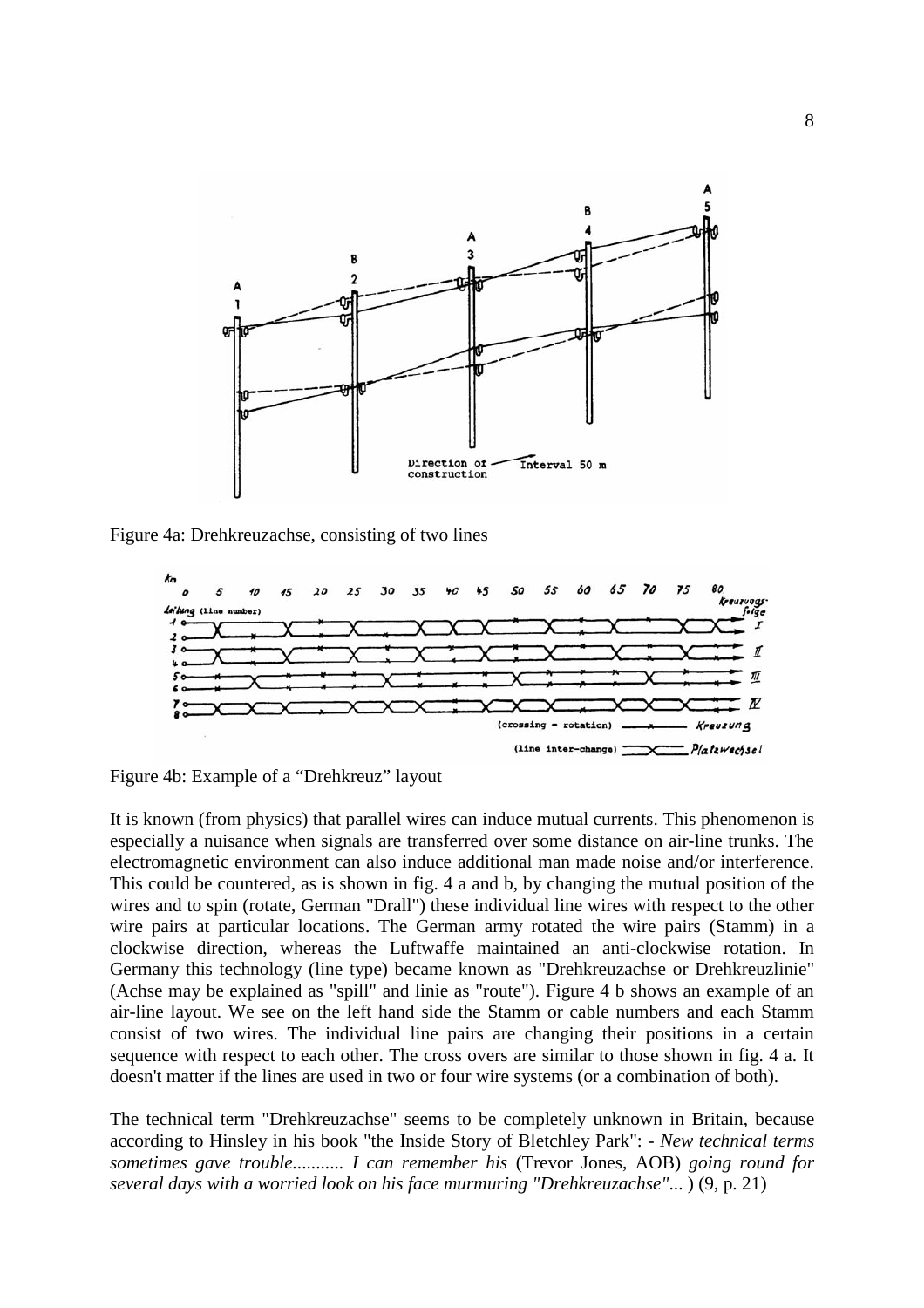

Figure 4a: Drehkreuzachse, consisting of two lines



Figure 4b: Example of a "Drehkreuz" layout

It is known (from physics) that parallel wires can induce mutual currents. This phenomenon is especially a nuisance when signals are transferred over some distance on air-line trunks. The electromagnetic environment can also induce additional man made noise and/or interference. This could be countered, as is shown in fig. 4 a and b, by changing the mutual position of the wires and to spin (rotate, German "Drall") these individual line wires with respect to the other wire pairs at particular locations. The German army rotated the wire pairs (Stamm) in a clockwise direction, whereas the Luftwaffe maintained an anti-clockwise rotation. In Germany this technology (line type) became known as "Drehkreuzachse or Drehkreuzlinie" (Achse may be explained as "spill" and linie as "route"). Figure 4 b shows an example of an air-line layout. We see on the left hand side the Stamm or cable numbers and each Stamm consist of two wires. The individual line pairs are changing their positions in a certain sequence with respect to each other. The cross overs are similar to those shown in fig. 4 a. It doesn't matter if the lines are used in two or four wire systems (or a combination of both).

The technical term "Drehkreuzachse" seems to be completely unknown in Britain, because according to Hinsley in his book "the Inside Story of Bletchley Park": - *New technical terms sometimes gave trouble........... I can remember his* (Trevor Jones, AOB) *going round for several days with a worried look on his face murmuring "Drehkreuzachse"*... ) (9, p. 21)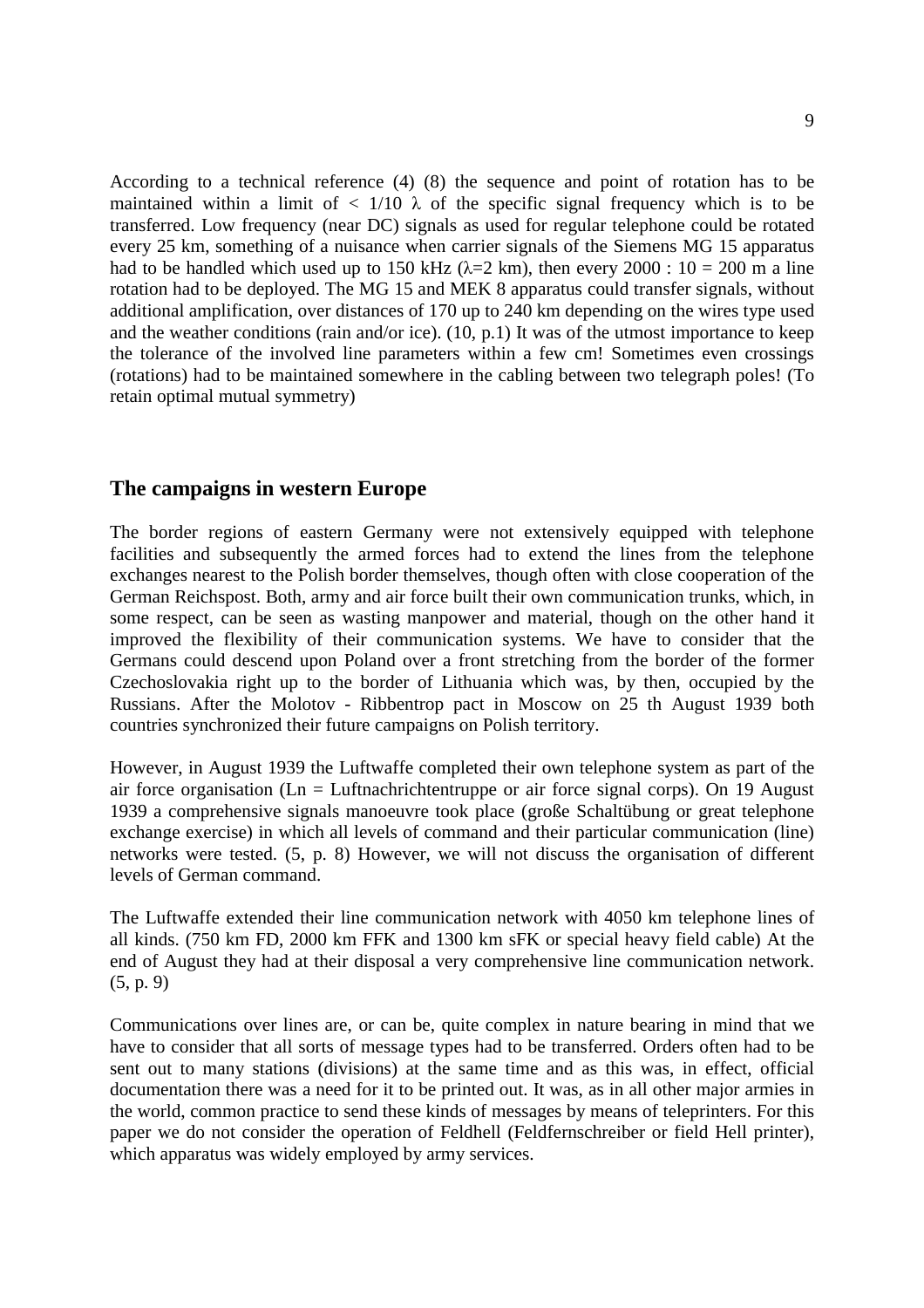According to a technical reference (4) (8) the sequence and point of rotation has to be maintained within a limit of  $\langle 1/10 \lambda \rangle$  of the specific signal frequency which is to be transferred. Low frequency (near DC) signals as used for regular telephone could be rotated every 25 km, something of a nuisance when carrier signals of the Siemens MG 15 apparatus had to be handled which used up to 150 kHz ( $\lambda$ =2 km), then every 2000 : 10 = 200 m a line rotation had to be deployed. The MG 15 and MEK 8 apparatus could transfer signals, without additional amplification, over distances of 170 up to 240 km depending on the wires type used and the weather conditions (rain and/or ice). (10, p.1) It was of the utmost importance to keep the tolerance of the involved line parameters within a few cm! Sometimes even crossings (rotations) had to be maintained somewhere in the cabling between two telegraph poles! (To retain optimal mutual symmetry)

## **The campaigns in western Europe**

The border regions of eastern Germany were not extensively equipped with telephone facilities and subsequently the armed forces had to extend the lines from the telephone exchanges nearest to the Polish border themselves, though often with close cooperation of the German Reichspost. Both, army and air force built their own communication trunks, which, in some respect, can be seen as wasting manpower and material, though on the other hand it improved the flexibility of their communication systems. We have to consider that the Germans could descend upon Poland over a front stretching from the border of the former Czechoslovakia right up to the border of Lithuania which was, by then, occupied by the Russians. After the Molotov - Ribbentrop pact in Moscow on 25 th August 1939 both countries synchronized their future campaigns on Polish territory.

However, in August 1939 the Luftwaffe completed their own telephone system as part of the air force organisation (Ln = Luftnachrichtentruppe or air force signal corps). On 19 August 1939 a comprehensive signals manoeuvre took place (große Schaltübung or great telephone exchange exercise) in which all levels of command and their particular communication (line) networks were tested. (5, p. 8) However, we will not discuss the organisation of different levels of German command.

The Luftwaffe extended their line communication network with 4050 km telephone lines of all kinds. (750 km FD, 2000 km FFK and 1300 km sFK or special heavy field cable) At the end of August they had at their disposal a very comprehensive line communication network. (5, p. 9)

Communications over lines are, or can be, quite complex in nature bearing in mind that we have to consider that all sorts of message types had to be transferred. Orders often had to be sent out to many stations (divisions) at the same time and as this was, in effect, official documentation there was a need for it to be printed out. It was, as in all other major armies in the world, common practice to send these kinds of messages by means of teleprinters. For this paper we do not consider the operation of Feldhell (Feldfernschreiber or field Hell printer), which apparatus was widely employed by army services.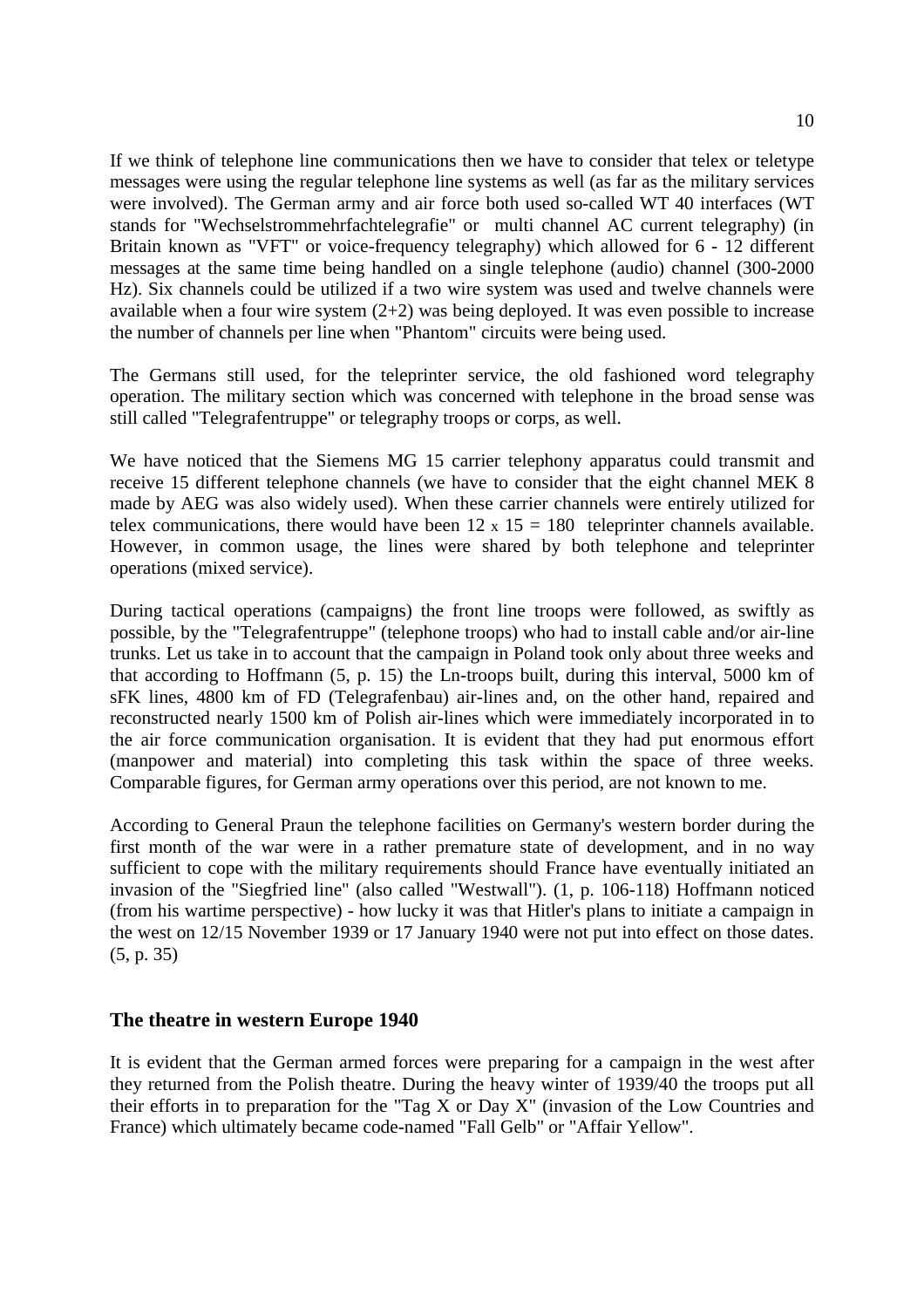If we think of telephone line communications then we have to consider that telex or teletype messages were using the regular telephone line systems as well (as far as the military services were involved). The German army and air force both used so-called WT 40 interfaces (WT stands for "Wechselstrommehrfachtelegrafie" or multi channel AC current telegraphy) (in Britain known as "VFT" or voice-frequency telegraphy) which allowed for 6 - 12 different messages at the same time being handled on a single telephone (audio) channel (300-2000 Hz). Six channels could be utilized if a two wire system was used and twelve channels were available when a four wire system  $(2+2)$  was being deployed. It was even possible to increase the number of channels per line when "Phantom" circuits were being used.

The Germans still used, for the teleprinter service, the old fashioned word telegraphy operation. The military section which was concerned with telephone in the broad sense was still called "Telegrafentruppe" or telegraphy troops or corps, as well.

We have noticed that the Siemens MG 15 carrier telephony apparatus could transmit and receive 15 different telephone channels (we have to consider that the eight channel MEK 8 made by AEG was also widely used). When these carrier channels were entirely utilized for telex communications, there would have been  $12 \times 15 = 180$  teleprinter channels available. However, in common usage, the lines were shared by both telephone and teleprinter operations (mixed service).

During tactical operations (campaigns) the front line troops were followed, as swiftly as possible, by the "Telegrafentruppe" (telephone troops) who had to install cable and/or air-line trunks. Let us take in to account that the campaign in Poland took only about three weeks and that according to Hoffmann (5, p. 15) the Ln-troops built, during this interval, 5000 km of sFK lines, 4800 km of FD (Telegrafenbau) air-lines and, on the other hand, repaired and reconstructed nearly 1500 km of Polish air-lines which were immediately incorporated in to the air force communication organisation. It is evident that they had put enormous effort (manpower and material) into completing this task within the space of three weeks. Comparable figures, for German army operations over this period, are not known to me.

According to General Praun the telephone facilities on Germany's western border during the first month of the war were in a rather premature state of development, and in no way sufficient to cope with the military requirements should France have eventually initiated an invasion of the "Siegfried line" (also called "Westwall"). (1, p. 106-118) Hoffmann noticed (from his wartime perspective) - how lucky it was that Hitler's plans to initiate a campaign in the west on 12/15 November 1939 or 17 January 1940 were not put into effect on those dates. (5, p. 35)

# **The theatre in western Europe 1940**

It is evident that the German armed forces were preparing for a campaign in the west after they returned from the Polish theatre. During the heavy winter of 1939/40 the troops put all their efforts in to preparation for the "Tag X or Day X" (invasion of the Low Countries and France) which ultimately became code-named "Fall Gelb" or "Affair Yellow".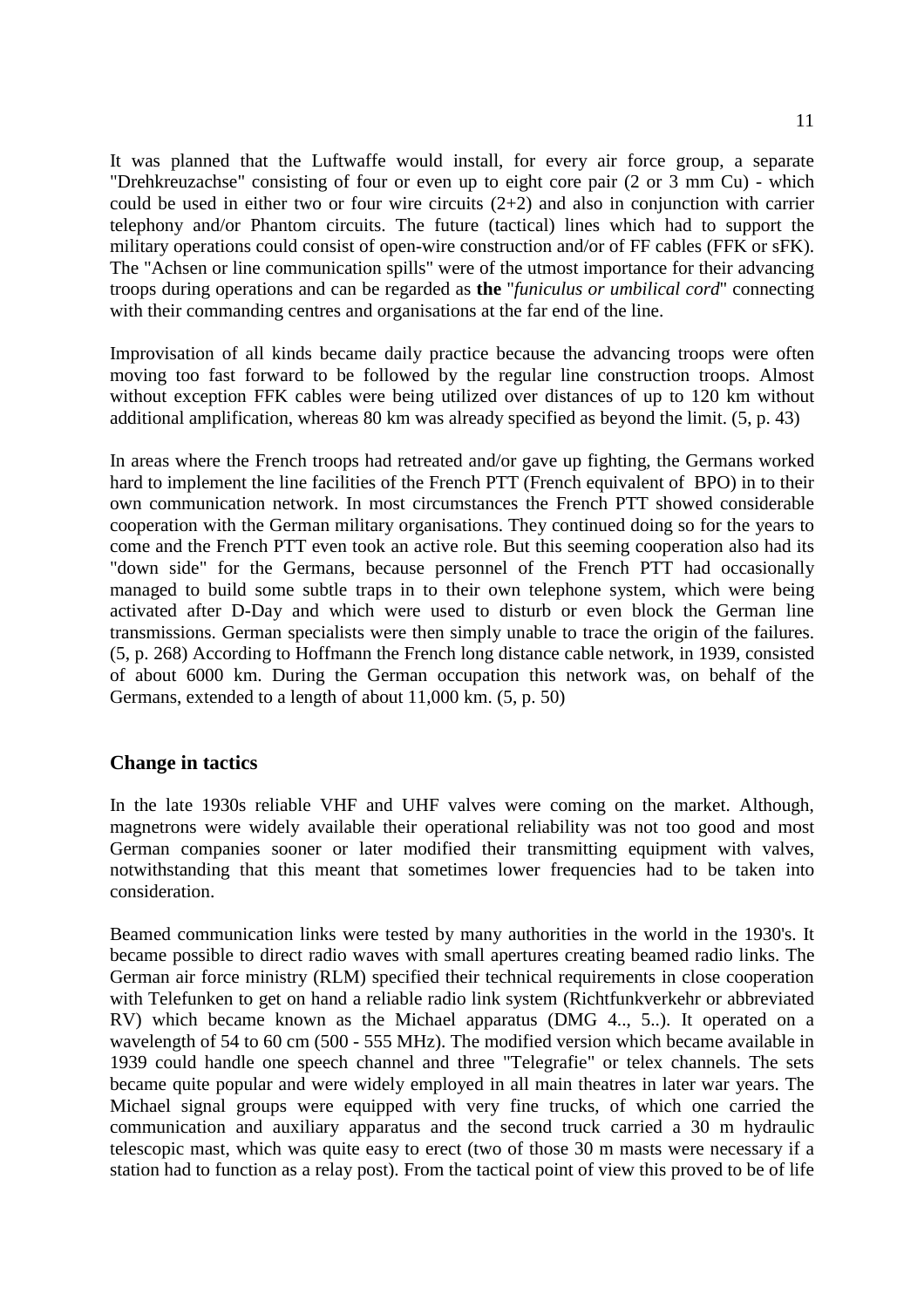It was planned that the Luftwaffe would install, for every air force group, a separate "Drehkreuzachse" consisting of four or even up to eight core pair (2 or 3 mm Cu) - which could be used in either two or four wire circuits  $(2+2)$  and also in conjunction with carrier telephony and/or Phantom circuits. The future (tactical) lines which had to support the military operations could consist of open-wire construction and/or of FF cables (FFK or sFK). The "Achsen or line communication spills" were of the utmost importance for their advancing troops during operations and can be regarded as **the** "*funiculus or umbilical cord*" connecting with their commanding centres and organisations at the far end of the line.

Improvisation of all kinds became daily practice because the advancing troops were often moving too fast forward to be followed by the regular line construction troops. Almost without exception FFK cables were being utilized over distances of up to 120 km without additional amplification, whereas 80 km was already specified as beyond the limit. (5, p. 43)

In areas where the French troops had retreated and/or gave up fighting, the Germans worked hard to implement the line facilities of the French PTT (French equivalent of BPO) in to their own communication network. In most circumstances the French PTT showed considerable cooperation with the German military organisations. They continued doing so for the years to come and the French PTT even took an active role. But this seeming cooperation also had its "down side" for the Germans, because personnel of the French PTT had occasionally managed to build some subtle traps in to their own telephone system, which were being activated after D-Day and which were used to disturb or even block the German line transmissions. German specialists were then simply unable to trace the origin of the failures. (5, p. 268) According to Hoffmann the French long distance cable network, in 1939, consisted of about 6000 km. During the German occupation this network was, on behalf of the Germans, extended to a length of about 11,000 km. (5, p. 50)

### **Change in tactics**

In the late 1930s reliable VHF and UHF valves were coming on the market. Although, magnetrons were widely available their operational reliability was not too good and most German companies sooner or later modified their transmitting equipment with valves, notwithstanding that this meant that sometimes lower frequencies had to be taken into consideration.

Beamed communication links were tested by many authorities in the world in the 1930's. It became possible to direct radio waves with small apertures creating beamed radio links. The German air force ministry (RLM) specified their technical requirements in close cooperation with Telefunken to get on hand a reliable radio link system (Richtfunkverkehr or abbreviated RV) which became known as the Michael apparatus (DMG 4.., 5..). It operated on a wavelength of 54 to 60 cm (500 - 555 MHz). The modified version which became available in 1939 could handle one speech channel and three "Telegrafie" or telex channels. The sets became quite popular and were widely employed in all main theatres in later war years. The Michael signal groups were equipped with very fine trucks, of which one carried the communication and auxiliary apparatus and the second truck carried a 30 m hydraulic telescopic mast, which was quite easy to erect (two of those 30 m masts were necessary if a station had to function as a relay post). From the tactical point of view this proved to be of life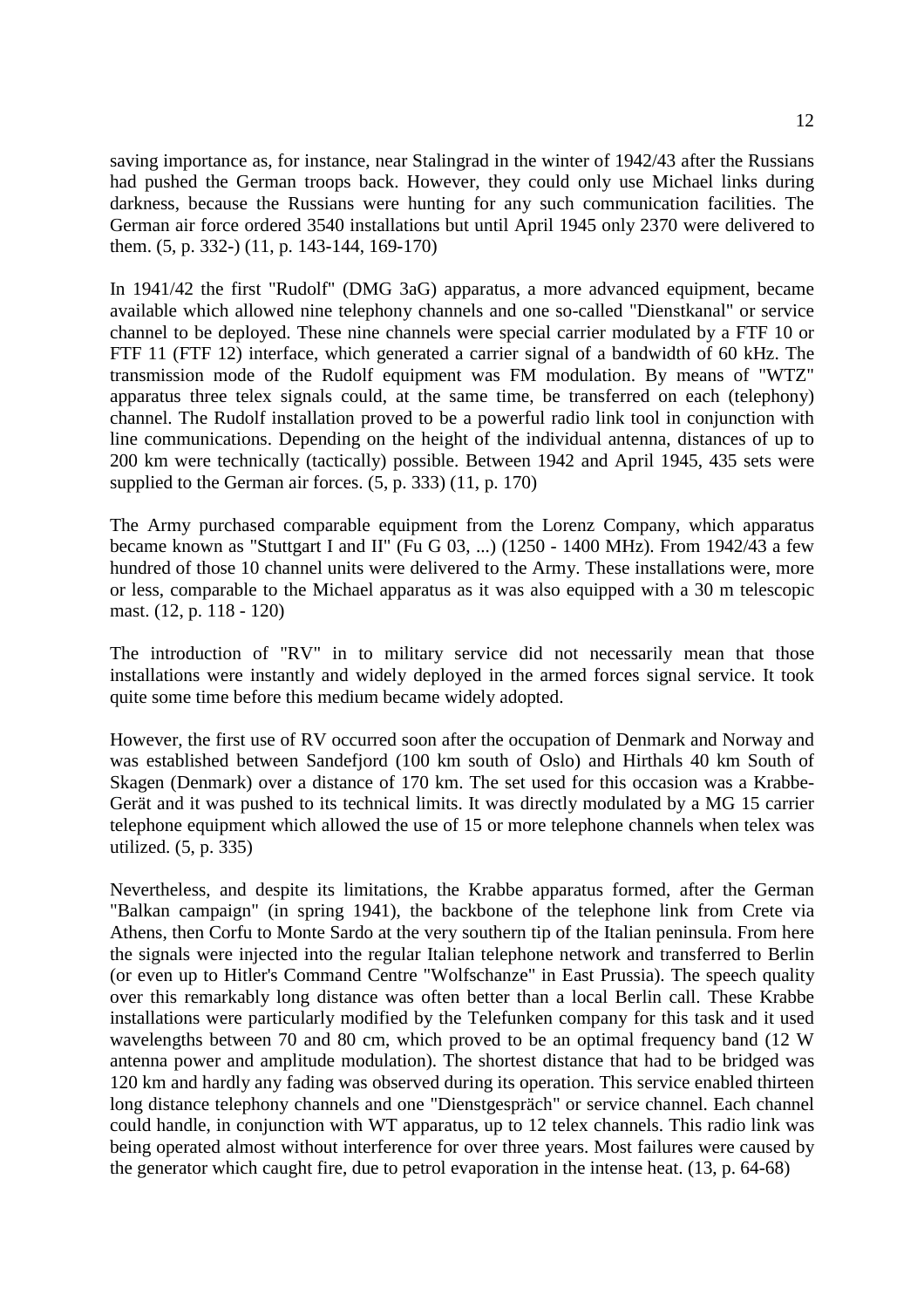saving importance as, for instance, near Stalingrad in the winter of 1942/43 after the Russians had pushed the German troops back. However, they could only use Michael links during darkness, because the Russians were hunting for any such communication facilities. The German air force ordered 3540 installations but until April 1945 only 2370 were delivered to them. (5, p. 332-) (11, p. 143-144, 169-170)

In 1941/42 the first "Rudolf" (DMG 3aG) apparatus, a more advanced equipment, became available which allowed nine telephony channels and one so-called "Dienstkanal" or service channel to be deployed. These nine channels were special carrier modulated by a FTF 10 or FTF 11 (FTF 12) interface, which generated a carrier signal of a bandwidth of 60 kHz. The transmission mode of the Rudolf equipment was FM modulation. By means of "WTZ" apparatus three telex signals could, at the same time, be transferred on each (telephony) channel. The Rudolf installation proved to be a powerful radio link tool in conjunction with line communications. Depending on the height of the individual antenna, distances of up to 200 km were technically (tactically) possible. Between 1942 and April 1945, 435 sets were supplied to the German air forces.  $(5, p. 333)$   $(11, p. 170)$ 

The Army purchased comparable equipment from the Lorenz Company, which apparatus became known as "Stuttgart I and II" (Fu G 03, ...) (1250 - 1400 MHz). From 1942/43 a few hundred of those 10 channel units were delivered to the Army. These installations were, more or less, comparable to the Michael apparatus as it was also equipped with a 30 m telescopic mast. (12, p. 118 - 120)

The introduction of "RV" in to military service did not necessarily mean that those installations were instantly and widely deployed in the armed forces signal service. It took quite some time before this medium became widely adopted.

However, the first use of RV occurred soon after the occupation of Denmark and Norway and was established between Sandefjord (100 km south of Oslo) and Hirthals 40 km South of Skagen (Denmark) over a distance of 170 km. The set used for this occasion was a Krabbe-Gerät and it was pushed to its technical limits. It was directly modulated by a MG 15 carrier telephone equipment which allowed the use of 15 or more telephone channels when telex was utilized. (5, p. 335)

Nevertheless, and despite its limitations, the Krabbe apparatus formed, after the German "Balkan campaign" (in spring 1941), the backbone of the telephone link from Crete via Athens, then Corfu to Monte Sardo at the very southern tip of the Italian peninsula. From here the signals were injected into the regular Italian telephone network and transferred to Berlin (or even up to Hitler's Command Centre "Wolfschanze" in East Prussia). The speech quality over this remarkably long distance was often better than a local Berlin call. These Krabbe installations were particularly modified by the Telefunken company for this task and it used wavelengths between 70 and 80 cm, which proved to be an optimal frequency band (12 W antenna power and amplitude modulation). The shortest distance that had to be bridged was 120 km and hardly any fading was observed during its operation. This service enabled thirteen long distance telephony channels and one "Dienstgespräch" or service channel. Each channel could handle, in conjunction with WT apparatus, up to 12 telex channels. This radio link was being operated almost without interference for over three years. Most failures were caused by the generator which caught fire, due to petrol evaporation in the intense heat. (13, p. 64-68)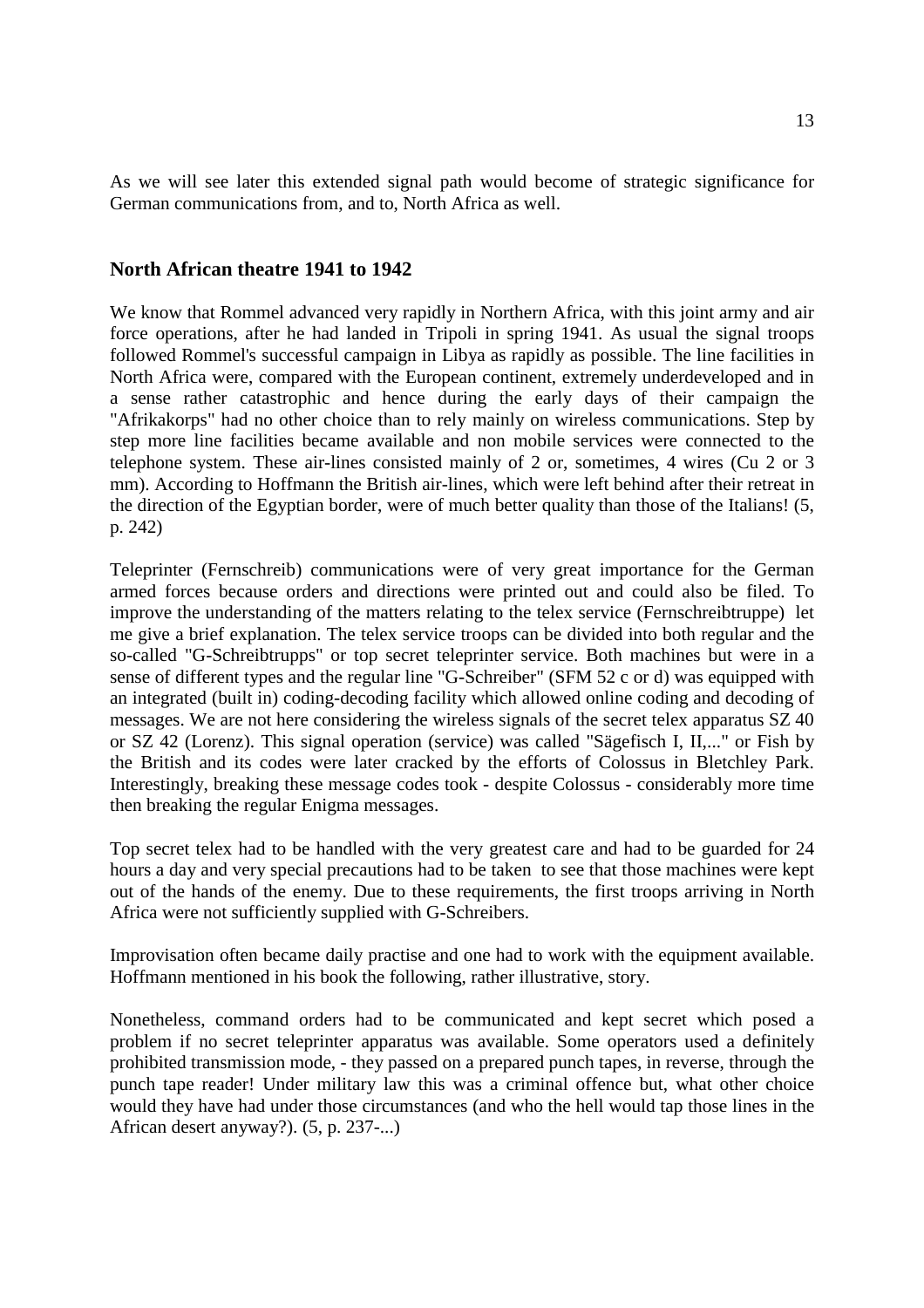As we will see later this extended signal path would become of strategic significance for German communications from, and to, North Africa as well.

#### **North African theatre 1941 to 1942**

We know that Rommel advanced very rapidly in Northern Africa, with this joint army and air force operations, after he had landed in Tripoli in spring 1941. As usual the signal troops followed Rommel's successful campaign in Libya as rapidly as possible. The line facilities in North Africa were, compared with the European continent, extremely underdeveloped and in a sense rather catastrophic and hence during the early days of their campaign the "Afrikakorps" had no other choice than to rely mainly on wireless communications. Step by step more line facilities became available and non mobile services were connected to the telephone system. These air-lines consisted mainly of 2 or, sometimes, 4 wires (Cu 2 or 3 mm). According to Hoffmann the British air-lines, which were left behind after their retreat in the direction of the Egyptian border, were of much better quality than those of the Italians! (5, p. 242)

Teleprinter (Fernschreib) communications were of very great importance for the German armed forces because orders and directions were printed out and could also be filed. To improve the understanding of the matters relating to the telex service (Fernschreibtruppe) let me give a brief explanation. The telex service troops can be divided into both regular and the so-called "G-Schreibtrupps" or top secret teleprinter service. Both machines but were in a sense of different types and the regular line "G-Schreiber" (SFM 52 c or d) was equipped with an integrated (built in) coding-decoding facility which allowed online coding and decoding of messages. We are not here considering the wireless signals of the secret telex apparatus SZ 40 or SZ 42 (Lorenz). This signal operation (service) was called "Sägefisch I, II,..." or Fish by the British and its codes were later cracked by the efforts of Colossus in Bletchley Park. Interestingly, breaking these message codes took - despite Colossus - considerably more time then breaking the regular Enigma messages.

Top secret telex had to be handled with the very greatest care and had to be guarded for 24 hours a day and very special precautions had to be taken to see that those machines were kept out of the hands of the enemy. Due to these requirements, the first troops arriving in North Africa were not sufficiently supplied with G-Schreibers.

Improvisation often became daily practise and one had to work with the equipment available. Hoffmann mentioned in his book the following, rather illustrative, story.

Nonetheless, command orders had to be communicated and kept secret which posed a problem if no secret teleprinter apparatus was available. Some operators used a definitely prohibited transmission mode, - they passed on a prepared punch tapes, in reverse, through the punch tape reader! Under military law this was a criminal offence but, what other choice would they have had under those circumstances (and who the hell would tap those lines in the African desert anyway?). (5, p. 237-...)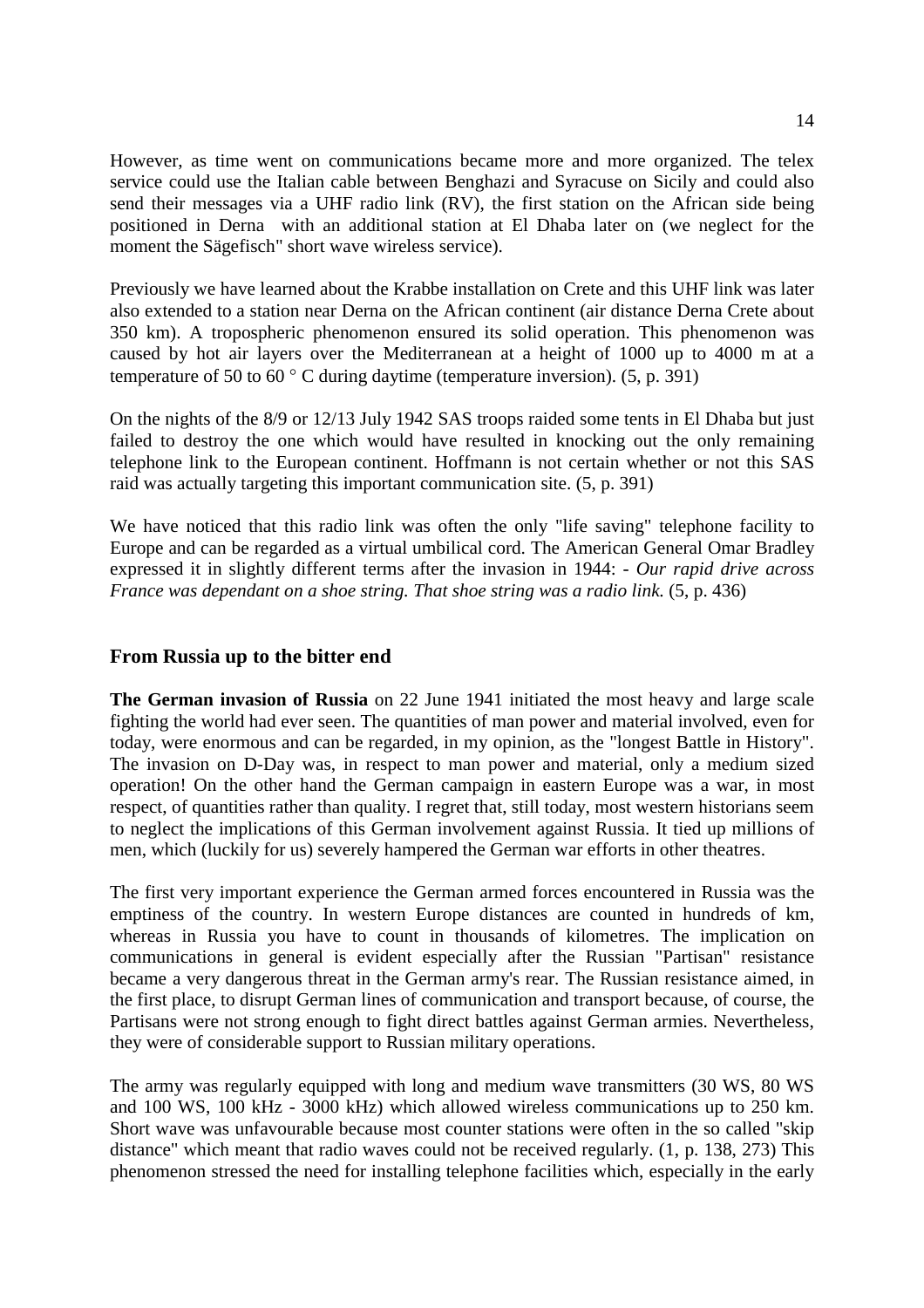However, as time went on communications became more and more organized. The telex service could use the Italian cable between Benghazi and Syracuse on Sicily and could also send their messages via a UHF radio link (RV), the first station on the African side being positioned in Derna with an additional station at El Dhaba later on (we neglect for the moment the Sägefisch" short wave wireless service).

Previously we have learned about the Krabbe installation on Crete and this UHF link was later also extended to a station near Derna on the African continent (air distance Derna Crete about 350 km). A tropospheric phenomenon ensured its solid operation. This phenomenon was caused by hot air layers over the Mediterranean at a height of 1000 up to 4000 m at a temperature of 50 to 60 $^{\circ}$  C during daytime (temperature inversion). (5, p. 391)

On the nights of the 8/9 or 12/13 July 1942 SAS troops raided some tents in El Dhaba but just failed to destroy the one which would have resulted in knocking out the only remaining telephone link to the European continent. Hoffmann is not certain whether or not this SAS raid was actually targeting this important communication site. (5, p. 391)

We have noticed that this radio link was often the only "life saving" telephone facility to Europe and can be regarded as a virtual umbilical cord. The American General Omar Bradley expressed it in slightly different terms after the invasion in 1944: - *Our rapid drive across France was dependant on a shoe string. That shoe string was a radio link.* (5, p. 436)

# **From Russia up to the bitter end**

**The German invasion of Russia** on 22 June 1941 initiated the most heavy and large scale fighting the world had ever seen. The quantities of man power and material involved, even for today, were enormous and can be regarded, in my opinion, as the "longest Battle in History". The invasion on D-Day was, in respect to man power and material, only a medium sized operation! On the other hand the German campaign in eastern Europe was a war, in most respect, of quantities rather than quality. I regret that, still today, most western historians seem to neglect the implications of this German involvement against Russia. It tied up millions of men, which (luckily for us) severely hampered the German war efforts in other theatres.

The first very important experience the German armed forces encountered in Russia was the emptiness of the country. In western Europe distances are counted in hundreds of km, whereas in Russia you have to count in thousands of kilometres. The implication on communications in general is evident especially after the Russian "Partisan" resistance became a very dangerous threat in the German army's rear. The Russian resistance aimed, in the first place, to disrupt German lines of communication and transport because, of course, the Partisans were not strong enough to fight direct battles against German armies. Nevertheless, they were of considerable support to Russian military operations.

The army was regularly equipped with long and medium wave transmitters (30 WS, 80 WS and 100 WS, 100 kHz - 3000 kHz) which allowed wireless communications up to 250 km. Short wave was unfavourable because most counter stations were often in the so called "skip distance" which meant that radio waves could not be received regularly. (1, p. 138, 273) This phenomenon stressed the need for installing telephone facilities which, especially in the early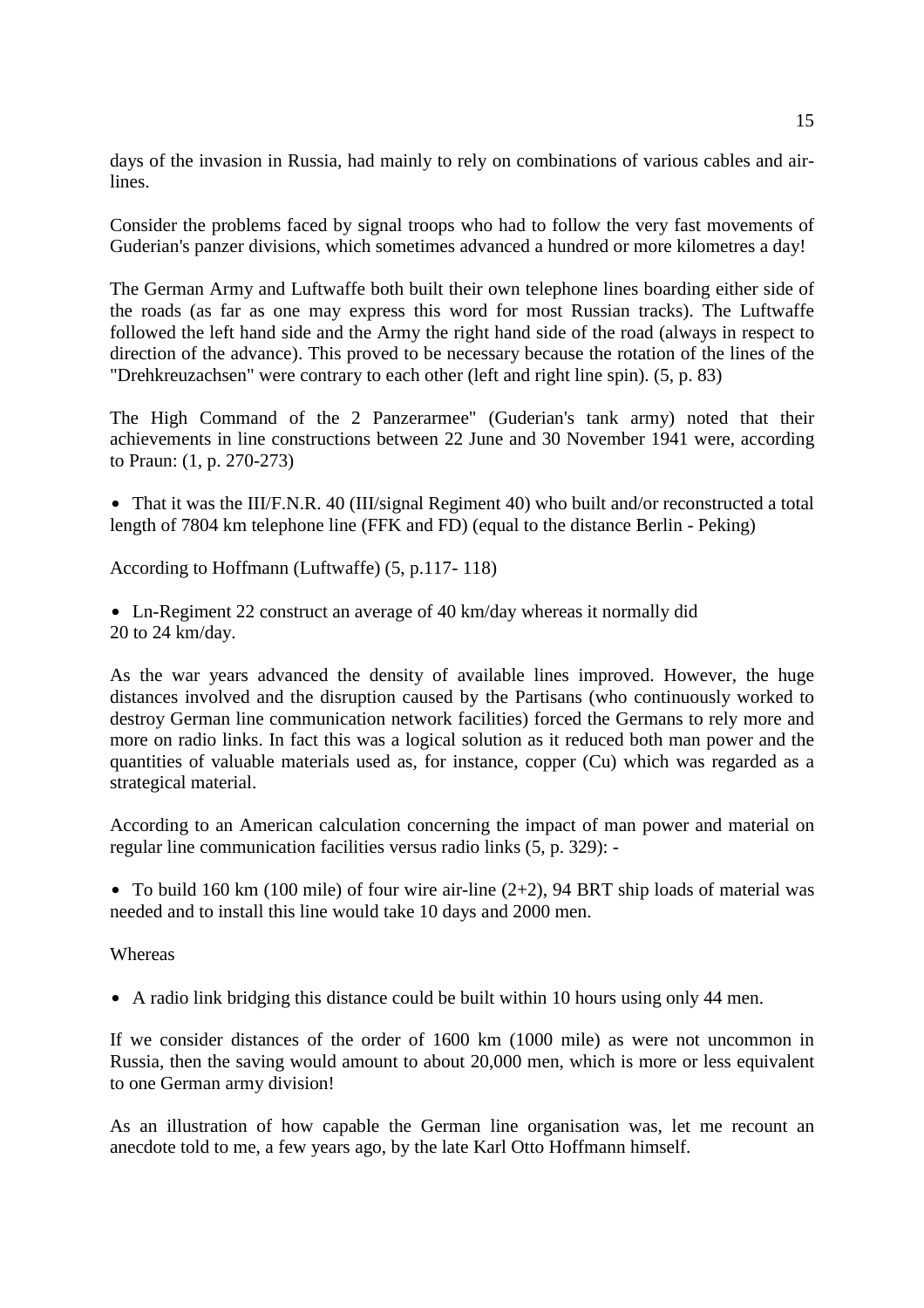days of the invasion in Russia, had mainly to rely on combinations of various cables and airlines.

Consider the problems faced by signal troops who had to follow the very fast movements of Guderian's panzer divisions, which sometimes advanced a hundred or more kilometres a day!

The German Army and Luftwaffe both built their own telephone lines boarding either side of the roads (as far as one may express this word for most Russian tracks). The Luftwaffe followed the left hand side and the Army the right hand side of the road (always in respect to direction of the advance). This proved to be necessary because the rotation of the lines of the "Drehkreuzachsen" were contrary to each other (left and right line spin). (5, p. 83)

The High Command of the 2 Panzerarmee" (Guderian's tank army) noted that their achievements in line constructions between 22 June and 30 November 1941 were, according to Praun: (1, p. 270-273)

• That it was the III/F.N.R. 40 (III/signal Regiment 40) who built and/or reconstructed a total length of 7804 km telephone line (FFK and FD) (equal to the distance Berlin - Peking)

According to Hoffmann (Luftwaffe) (5, p.117- 118)

• Ln-Regiment 22 construct an average of 40 km/day whereas it normally did 20 to 24 km/day.

As the war years advanced the density of available lines improved. However, the huge distances involved and the disruption caused by the Partisans (who continuously worked to destroy German line communication network facilities) forced the Germans to rely more and more on radio links. In fact this was a logical solution as it reduced both man power and the quantities of valuable materials used as, for instance, copper (Cu) which was regarded as a strategical material.

According to an American calculation concerning the impact of man power and material on regular line communication facilities versus radio links (5, p. 329): -

• To build 160 km (100 mile) of four wire air-line (2+2), 94 BRT ship loads of material was needed and to install this line would take 10 days and 2000 men.

**Whereas** 

• A radio link bridging this distance could be built within 10 hours using only 44 men.

If we consider distances of the order of 1600 km (1000 mile) as were not uncommon in Russia, then the saving would amount to about 20,000 men, which is more or less equivalent to one German army division!

As an illustration of how capable the German line organisation was, let me recount an anecdote told to me, a few years ago, by the late Karl Otto Hoffmann himself.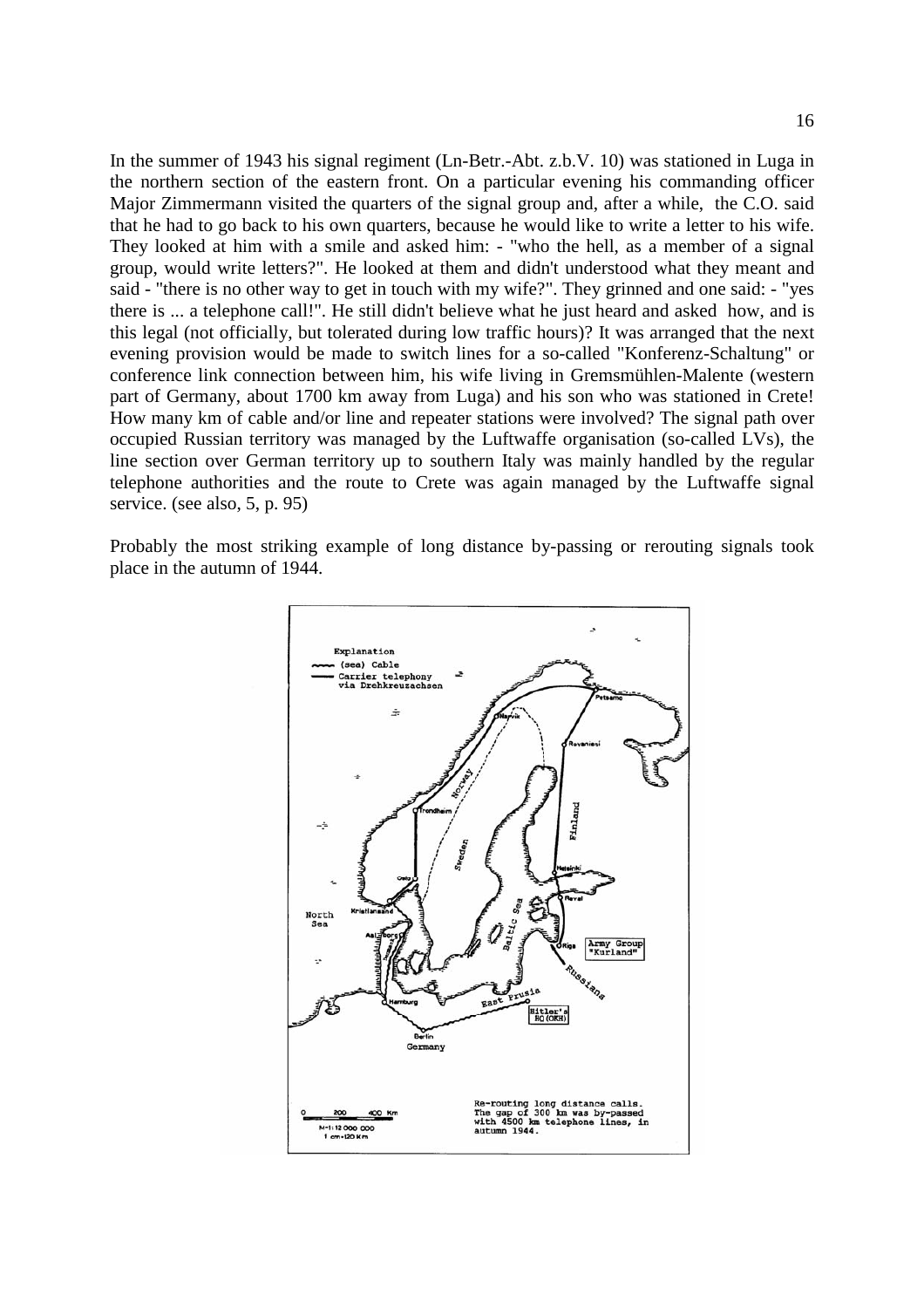In the summer of 1943 his signal regiment (Ln-Betr.-Abt. z.b.V. 10) was stationed in Luga in the northern section of the eastern front. On a particular evening his commanding officer Major Zimmermann visited the quarters of the signal group and, after a while, the C.O. said that he had to go back to his own quarters, because he would like to write a letter to his wife. They looked at him with a smile and asked him: - "who the hell, as a member of a signal group, would write letters?". He looked at them and didn't understood what they meant and said - "there is no other way to get in touch with my wife?". They grinned and one said: - "yes there is ... a telephone call!". He still didn't believe what he just heard and asked how, and is this legal (not officially, but tolerated during low traffic hours)? It was arranged that the next evening provision would be made to switch lines for a so-called "Konferenz-Schaltung" or conference link connection between him, his wife living in Gremsmühlen-Malente (western part of Germany, about 1700 km away from Luga) and his son who was stationed in Crete! How many km of cable and/or line and repeater stations were involved? The signal path over occupied Russian territory was managed by the Luftwaffe organisation (so-called LVs), the line section over German territory up to southern Italy was mainly handled by the regular telephone authorities and the route to Crete was again managed by the Luftwaffe signal service. (see also, 5, p. 95)

Probably the most striking example of long distance by-passing or rerouting signals took place in the autumn of 1944.

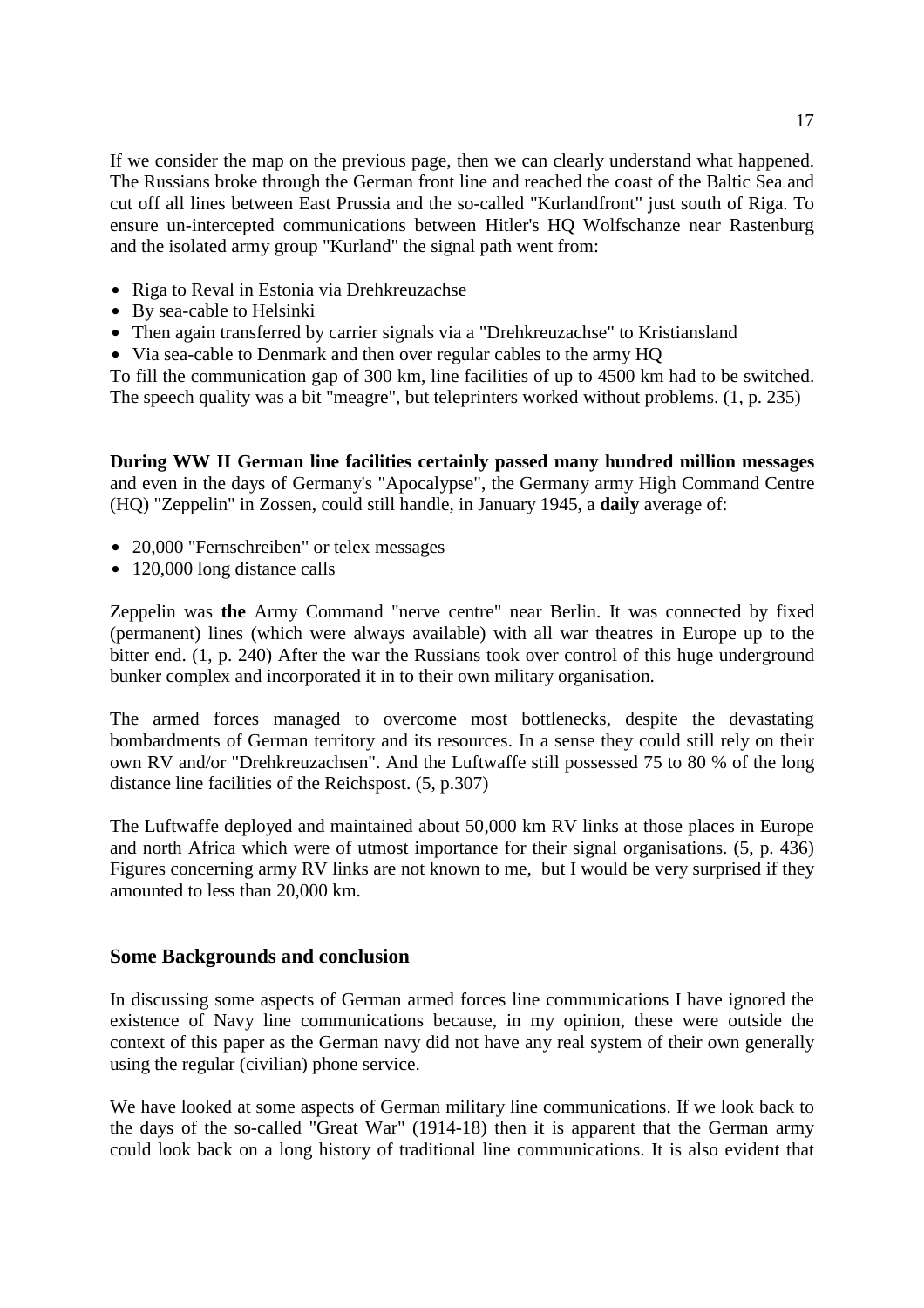If we consider the map on the previous page, then we can clearly understand what happened. The Russians broke through the German front line and reached the coast of the Baltic Sea and cut off all lines between East Prussia and the so-called "Kurlandfront" just south of Riga. To ensure un-intercepted communications between Hitler's HQ Wolfschanze near Rastenburg and the isolated army group "Kurland" the signal path went from:

- Riga to Reval in Estonia via Drehkreuzachse
- By sea-cable to Helsinki
- Then again transferred by carrier signals via a "Drehkreuzachse" to Kristiansland
- Via sea-cable to Denmark and then over regular cables to the army HQ

To fill the communication gap of 300 km, line facilities of up to 4500 km had to be switched. The speech quality was a bit "meagre", but teleprinters worked without problems. (1, p. 235)

**During WW II German line facilities certainly passed many hundred million messages** and even in the days of Germany's "Apocalypse", the Germany army High Command Centre (HQ) "Zeppelin" in Zossen, could still handle, in January 1945, a **daily** average of:

- 20,000 "Fernschreiben" or telex messages
- $\bullet$  120,000 long distance calls

Zeppelin was **the** Army Command "nerve centre" near Berlin. It was connected by fixed (permanent) lines (which were always available) with all war theatres in Europe up to the bitter end. (1, p. 240) After the war the Russians took over control of this huge underground bunker complex and incorporated it in to their own military organisation.

The armed forces managed to overcome most bottlenecks, despite the devastating bombardments of German territory and its resources. In a sense they could still rely on their own RV and/or "Drehkreuzachsen". And the Luftwaffe still possessed 75 to 80 % of the long distance line facilities of the Reichspost. (5, p.307)

The Luftwaffe deployed and maintained about 50,000 km RV links at those places in Europe and north Africa which were of utmost importance for their signal organisations. (5, p. 436) Figures concerning army RV links are not known to me, but I would be very surprised if they amounted to less than 20,000 km.

# **Some Backgrounds and conclusion**

In discussing some aspects of German armed forces line communications I have ignored the existence of Navy line communications because, in my opinion, these were outside the context of this paper as the German navy did not have any real system of their own generally using the regular (civilian) phone service.

We have looked at some aspects of German military line communications. If we look back to the days of the so-called "Great War" (1914-18) then it is apparent that the German army could look back on a long history of traditional line communications. It is also evident that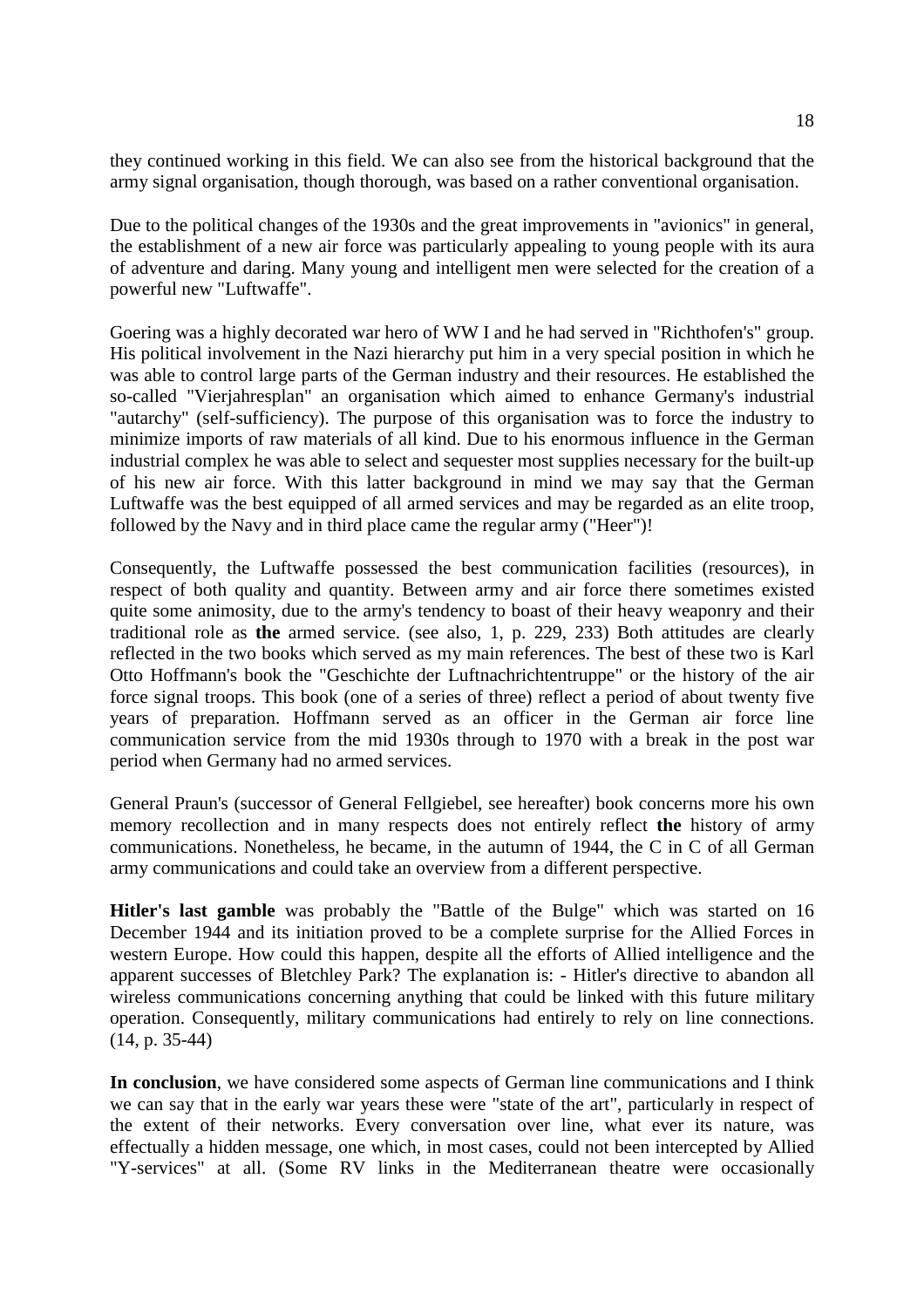they continued working in this field. We can also see from the historical background that the army signal organisation, though thorough, was based on a rather conventional organisation.

Due to the political changes of the 1930s and the great improvements in "avionics" in general, the establishment of a new air force was particularly appealing to young people with its aura of adventure and daring. Many young and intelligent men were selected for the creation of a powerful new "Luftwaffe".

Goering was a highly decorated war hero of WW I and he had served in "Richthofen's" group. His political involvement in the Nazi hierarchy put him in a very special position in which he was able to control large parts of the German industry and their resources. He established the so-called "Vierjahresplan" an organisation which aimed to enhance Germany's industrial "autarchy" (self-sufficiency). The purpose of this organisation was to force the industry to minimize imports of raw materials of all kind. Due to his enormous influence in the German industrial complex he was able to select and sequester most supplies necessary for the built-up of his new air force. With this latter background in mind we may say that the German Luftwaffe was the best equipped of all armed services and may be regarded as an elite troop, followed by the Navy and in third place came the regular army ("Heer")!

Consequently, the Luftwaffe possessed the best communication facilities (resources), in respect of both quality and quantity. Between army and air force there sometimes existed quite some animosity, due to the army's tendency to boast of their heavy weaponry and their traditional role as **the** armed service. (see also, 1, p. 229, 233) Both attitudes are clearly reflected in the two books which served as my main references. The best of these two is Karl Otto Hoffmann's book the "Geschichte der Luftnachrichtentruppe" or the history of the air force signal troops. This book (one of a series of three) reflect a period of about twenty five years of preparation. Hoffmann served as an officer in the German air force line communication service from the mid 1930s through to 1970 with a break in the post war period when Germany had no armed services.

General Praun's (successor of General Fellgiebel, see hereafter) book concerns more his own memory recollection and in many respects does not entirely reflect **the** history of army communications. Nonetheless, he became, in the autumn of 1944, the C in C of all German army communications and could take an overview from a different perspective.

**Hitler's last gamble** was probably the "Battle of the Bulge" which was started on 16 December 1944 and its initiation proved to be a complete surprise for the Allied Forces in western Europe. How could this happen, despite all the efforts of Allied intelligence and the apparent successes of Bletchley Park? The explanation is: - Hitler's directive to abandon all wireless communications concerning anything that could be linked with this future military operation. Consequently, military communications had entirely to rely on line connections. (14, p. 35-44)

**In conclusion**, we have considered some aspects of German line communications and I think we can say that in the early war years these were "state of the art", particularly in respect of the extent of their networks. Every conversation over line, what ever its nature, was effectually a hidden message, one which, in most cases, could not been intercepted by Allied "Y-services" at all. (Some RV links in the Mediterranean theatre were occasionally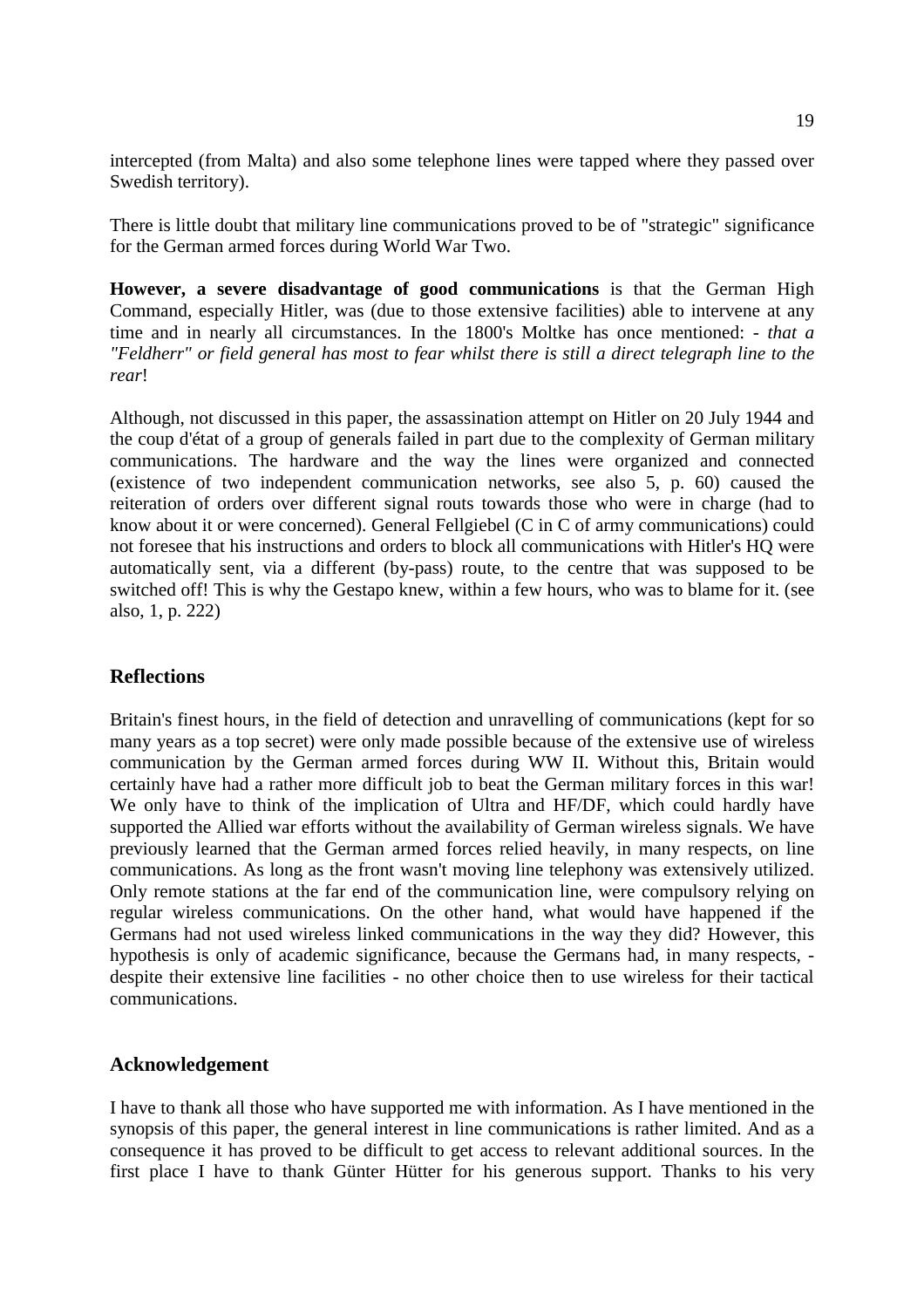intercepted (from Malta) and also some telephone lines were tapped where they passed over Swedish territory).

There is little doubt that military line communications proved to be of "strategic" significance for the German armed forces during World War Two.

**However, a severe disadvantage of good communications** is that the German High Command, especially Hitler, was (due to those extensive facilities) able to intervene at any time and in nearly all circumstances. In the 1800's Moltke has once mentioned: - *that a "Feldherr" or field general has most to fear whilst there is still a direct telegraph line to the rear*!

Although, not discussed in this paper, the assassination attempt on Hitler on 20 July 1944 and the coup d'état of a group of generals failed in part due to the complexity of German military communications. The hardware and the way the lines were organized and connected (existence of two independent communication networks, see also 5, p. 60) caused the reiteration of orders over different signal routs towards those who were in charge (had to know about it or were concerned). General Fellgiebel (C in C of army communications) could not foresee that his instructions and orders to block all communications with Hitler's HQ were automatically sent, via a different (by-pass) route, to the centre that was supposed to be switched off! This is why the Gestapo knew, within a few hours, who was to blame for it. (see also, 1, p. 222)

### **Reflections**

Britain's finest hours, in the field of detection and unravelling of communications (kept for so many years as a top secret) were only made possible because of the extensive use of wireless communication by the German armed forces during WW II. Without this, Britain would certainly have had a rather more difficult job to beat the German military forces in this war! We only have to think of the implication of Ultra and HF/DF, which could hardly have supported the Allied war efforts without the availability of German wireless signals. We have previously learned that the German armed forces relied heavily, in many respects, on line communications. As long as the front wasn't moving line telephony was extensively utilized. Only remote stations at the far end of the communication line, were compulsory relying on regular wireless communications. On the other hand, what would have happened if the Germans had not used wireless linked communications in the way they did? However, this hypothesis is only of academic significance, because the Germans had, in many respects, despite their extensive line facilities - no other choice then to use wireless for their tactical communications.

### **Acknowledgement**

I have to thank all those who have supported me with information. As I have mentioned in the synopsis of this paper, the general interest in line communications is rather limited. And as a consequence it has proved to be difficult to get access to relevant additional sources. In the first place I have to thank Günter Hütter for his generous support. Thanks to his very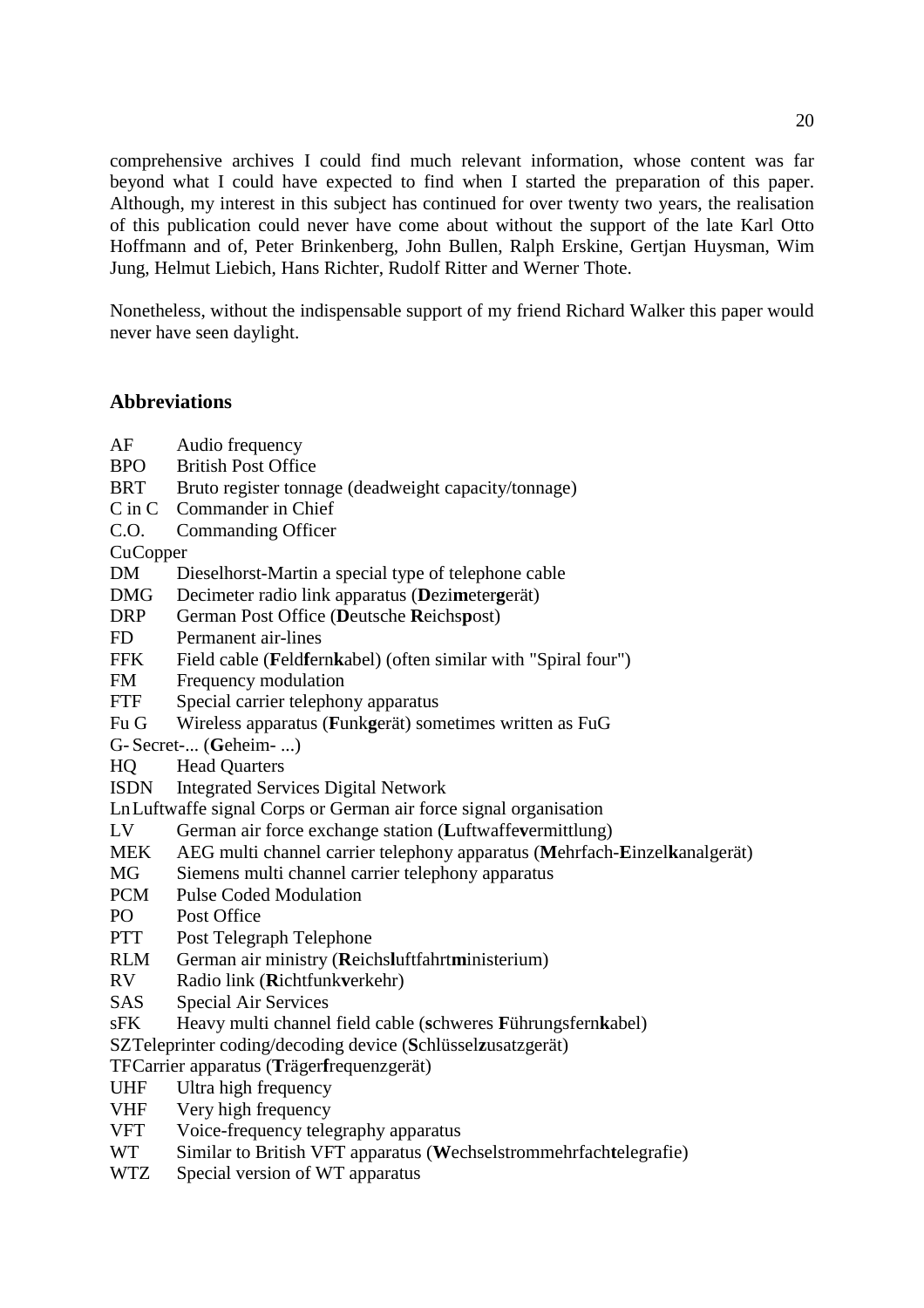comprehensive archives I could find much relevant information, whose content was far beyond what I could have expected to find when I started the preparation of this paper. Although, my interest in this subject has continued for over twenty two years, the realisation of this publication could never have come about without the support of the late Karl Otto Hoffmann and of, Peter Brinkenberg, John Bullen, Ralph Erskine, Gertjan Huysman, Wim Jung, Helmut Liebich, Hans Richter, Rudolf Ritter and Werner Thote.

Nonetheless, without the indispensable support of my friend Richard Walker this paper would never have seen daylight.

## **Abbreviations**

- AF Audio frequency
- BPO British Post Office
- BRT Bruto register tonnage (deadweight capacity/tonnage)
- C in C Commander in Chief
- C.O. Commanding Officer

**Cu Copper** 

- DM Dieselhorst-Martin a special type of telephone cable
- DMG Decimeter radio link apparatus (**D**ezi**m**eter**g**erät)
- DRP German Post Office (**D**eutsche **R**eichs**p**ost)
- FD Permanent air-lines
- FFK Field cable (**Feldfernkabel**) (often similar with "Spiral four")
- FM Frequency modulation
- FTF Special carrier telephony apparatus
- Fu G Wireless apparatus (**F**unk**g**erät) sometimes written as FuG

G- Secret-... (**G**eheim- ...)

- HQ Head Quarters
- ISDN Integrated Services Digital Network
- Ln Luftwaffe signal Corps or German air force signal organisation
- LV German air force exchange station (**L**uftwaffe**v**ermittlung)
- MEK AEG multi channel carrier telephony apparatus (**M**ehrfach-**E**inzel**k**analgerät)
- MG Siemens multi channel carrier telephony apparatus
- PCM Pulse Coded Modulation
- PO Post Office
- PTT Post Telegraph Telephone
- RLM German air ministry (**R**eichs**l**uftfahrt**m**inisterium)
- RV Radio link (**R**ichtfunk**v**erkehr)
- SAS Special Air Services
- sFK Heavy multi channel field cable (**s**chweres **F**ührungsfern**k**abel)
- SZ Teleprinter coding/decoding device (**S**chlüssel**z**usatzgerät)
- TF Carrier apparatus (**T**räger**f**requenzgerät)
- UHF Ultra high frequency
- VHF Very high frequency
- VFT Voice-frequency telegraphy apparatus
- WT Similar to British VFT apparatus (**W**echselstrommehrfach**t**elegrafie)
- WTZ Special version of WT apparatus